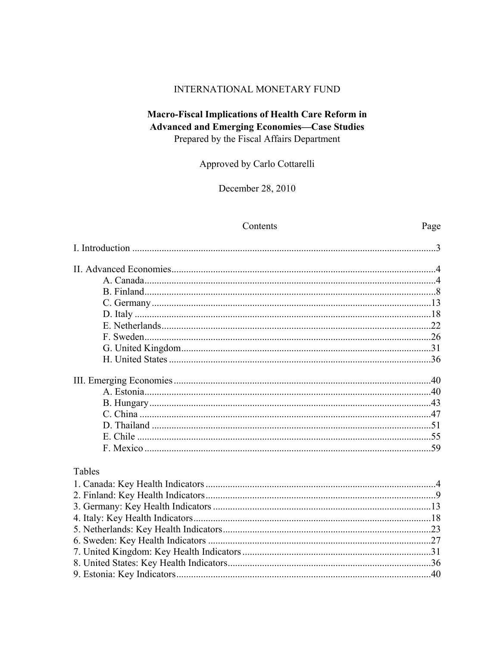### INTERNATIONAL MONETARY FUND

## **Macro-Fiscal Implications of Health Care Reform in Advanced and Emerging Economies-Case Studies** Prepared by the Fiscal Affairs Department

Approved by Carlo Cottarelli

December 28, 2010

### Contents

Page

| Tables |  |
|--------|--|
|        |  |
|        |  |
|        |  |
|        |  |
|        |  |
|        |  |
|        |  |
|        |  |
|        |  |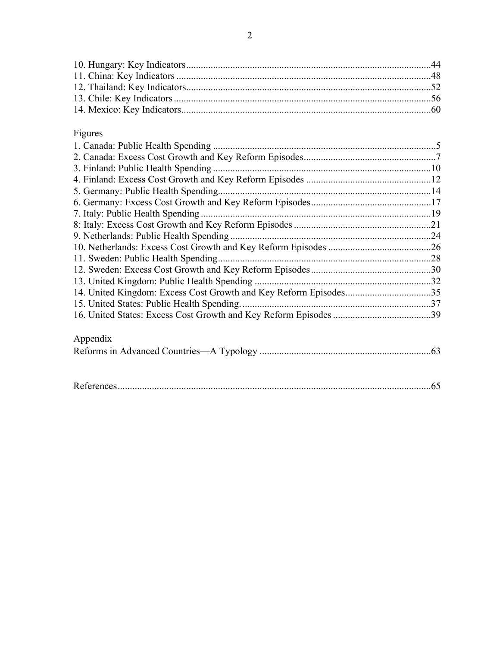# Figures

| 3. Finland: Public Health Spending         |  |
|--------------------------------------------|--|
|                                            |  |
| 5. Germany: Public Health Spending         |  |
|                                            |  |
| 7. Italy: Public Health Spending.          |  |
|                                            |  |
| 9. Netherlands: Public Health Spending.    |  |
|                                            |  |
|                                            |  |
|                                            |  |
|                                            |  |
|                                            |  |
| 15. United States: Public Health Spending. |  |
|                                            |  |
|                                            |  |
| Appendix                                   |  |
|                                            |  |
|                                            |  |
|                                            |  |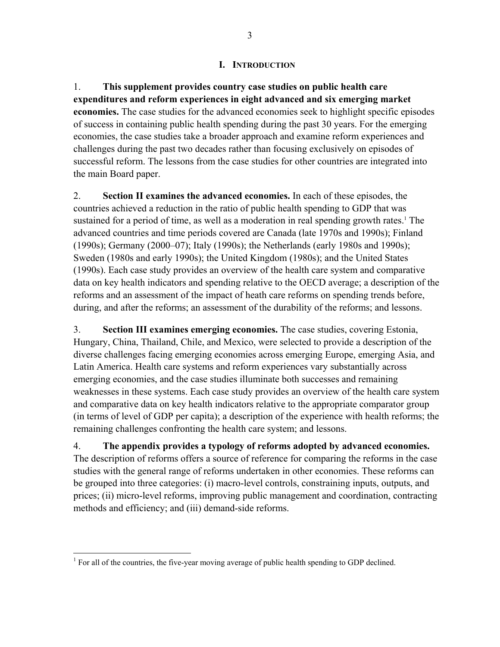### **I. INTRODUCTION**

1. **This supplement provides country case studies on public health care expenditures and reform experiences in eight advanced and six emerging market economies.** The case studies for the advanced economies seek to highlight specific episodes of success in containing public health spending during the past 30 years. For the emerging economies, the case studies take a broader approach and examine reform experiences and challenges during the past two decades rather than focusing exclusively on episodes of successful reform. The lessons from the case studies for other countries are integrated into the main Board paper.

2. **Section II examines the advanced economies.** In each of these episodes, the countries achieved a reduction in the ratio of public health spending to GDP that was sustained for a period of time, as well as a moderation in real spending growth rates.<sup>1</sup> The advanced countries and time periods covered are Canada (late 1970s and 1990s); Finland (1990s); Germany (2000–07); Italy (1990s); the Netherlands (early 1980s and 1990s); Sweden (1980s and early 1990s); the United Kingdom (1980s); and the United States (1990s). Each case study provides an overview of the health care system and comparative data on key health indicators and spending relative to the OECD average; a description of the reforms and an assessment of the impact of heath care reforms on spending trends before, during, and after the reforms; an assessment of the durability of the reforms; and lessons.

3. **Section III examines emerging economies.** The case studies, covering Estonia, Hungary, China, Thailand, Chile, and Mexico, were selected to provide a description of the diverse challenges facing emerging economies across emerging Europe, emerging Asia, and Latin America. Health care systems and reform experiences vary substantially across emerging economies, and the case studies illuminate both successes and remaining weaknesses in these systems. Each case study provides an overview of the health care system and comparative data on key health indicators relative to the appropriate comparator group (in terms of level of GDP per capita); a description of the experience with health reforms; the remaining challenges confronting the health care system; and lessons.

4. **The appendix provides a typology of reforms adopted by advanced economies.**  The description of reforms offers a source of reference for comparing the reforms in the case studies with the general range of reforms undertaken in other economies. These reforms can be grouped into three categories: (i) macro-level controls, constraining inputs, outputs, and prices; (ii) micro-level reforms, improving public management and coordination, contracting methods and efficiency; and (iii) demand-side reforms.

<sup>&</sup>lt;sup>1</sup> For all of the countries, the five-year moving average of public health spending to GDP declined.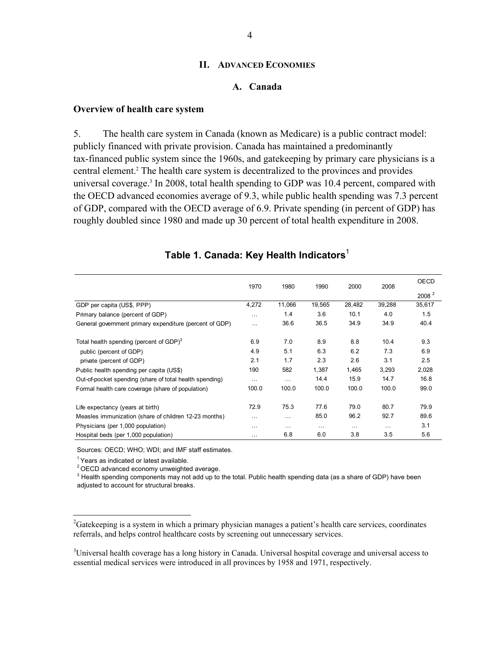#### **II. ADVANCED ECONOMIES**

#### **A. Canada**

#### **Overview of health care system**

5. The health care system in Canada (known as Medicare) is a public contract model: publicly financed with private provision. Canada has maintained a predominantly tax-financed public system since the 1960s, and gatekeeping by primary care physicians is a central element.<sup>2</sup> The health care system is decentralized to the provinces and provides universal coverage.<sup>3</sup> In 2008, total health spending to GDP was 10.4 percent, compared with the OECD advanced economies average of 9.3, while public health spending was 7.3 percent of GDP, compared with the OECD average of 6.9. Private spending (in percent of GDP) has roughly doubled since 1980 and made up 30 percent of total health expenditure in 2008.

|                                                         | 1970     | 1980     | 1990     | 2000     | 2008     | <b>OECD</b>       |
|---------------------------------------------------------|----------|----------|----------|----------|----------|-------------------|
|                                                         |          |          |          |          |          | 2008 <sup>2</sup> |
| GDP per capita (US\$, PPP)                              | 4,272    | 11,066   | 19,565   | 28,482   | 39,288   | 35,617            |
| Primary balance (percent of GDP)                        | $\cdots$ | 1.4      | 3.6      | 10.1     | 4.0      | 1.5               |
| General government primary expenditure (percent of GDP) | $\cdots$ | 36.6     | 36.5     | 34.9     | 34.9     | 40.4              |
| Total health spending (percent of GDP) $3$              | 6.9      | 7.0      | 8.9      | 8.8      | 10.4     | 9.3               |
| public (percent of GDP)                                 | 4.9      | 5.1      | 6.3      | 6.2      | 7.3      | 6.9               |
| private (percent of GDP)                                | 2.1      | 1.7      | 2.3      | 2.6      | 3.1      | 2.5               |
| Public health spending per capita (US\$)                | 190      | 582      | 1,387    | 1,465    | 3,293    | 2,028             |
| Out-of-pocket spending (share of total health spending) | $\cdots$ | $\cdots$ | 14.4     | 15.9     | 14.7     | 16.8              |
| Formal health care coverage (share of population)       | 100.0    | 100.0    | 100.0    | 100.0    | 100.0    | 99.0              |
| Life expectancy (years at birth)                        | 72.9     | 75.3     | 77.6     | 79.0     | 80.7     | 79.9              |
| Measles immunization (share of children 12-23 months)   | .        |          | 85.0     | 96.2     | 92.7     | 89.6              |
| Physicians (per 1,000 population)                       | $\cdots$ | $\cdots$ | $\cdots$ | $\cdots$ | $\cdots$ | 3.1               |
| Hospital beds (per 1,000 population)                    | $\cdots$ | 6.8      | 6.0      | 3.8      | 3.5      | 5.6               |

## **Table 1. Canada: Key Health Indicators**<sup>1</sup>

Sources: OECD; WHO; WDI; and IMF staff estimates.

 $1$  Years as indicated or latest available.

 $\overline{a}$ 

2 OECD advanced economy unweighted average.

<sup>3</sup> Health spending components may not add up to the total. Public health spending data (as a share of GDP) have been adjusted to account for structural breaks.

<sup>&</sup>lt;sup>2</sup>Gatekeeping is a system in which a primary physician manages a patient's health care services, coordinates referrals, and helps control healthcare costs by screening out unnecessary services.

<sup>&</sup>lt;sup>3</sup>Universal health coverage has a long history in Canada. Universal hospital coverage and universal access to essential medical services were introduced in all provinces by 1958 and 1971, respectively.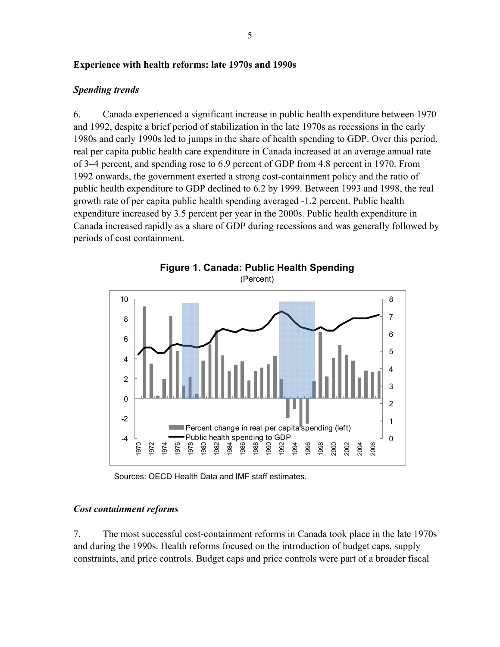### **Experience with health reforms: late 1970s and 1990s**

### *Spending trends*

6. Canada experienced a significant increase in public health expenditure between 1970 and 1992, despite a brief period of stabilization in the late 1970s as recessions in the early 1980s and early 1990s led to jumps in the share of health spending to GDP. Over this period, real per capita public health care expenditure in Canada increased at an average annual rate of 3–4 percent, and spending rose to 6.9 percent of GDP from 4.8 percent in 1970. From 1992 onwards, the government exerted a strong cost-containment policy and the ratio of public health expenditure to GDP declined to 6.2 by 1999. Between 1993 and 1998, the real growth rate of per capita public health spending averaged -1.2 percent. Public health expenditure increased by 3.5 percent per year in the 2000s. Public health expenditure in Canada increased rapidly as a share of GDP during recessions and was generally followed by periods of cost containment.



Sources: OECD Health Data and IMF staff estimates.

### *Cost containment reforms*

7. The most successful cost-containment reforms in Canada took place in the late 1970s and during the 1990s. Health reforms focused on the introduction of budget caps, supply constraints, and price controls. Budget caps and price controls were part of a broader fiscal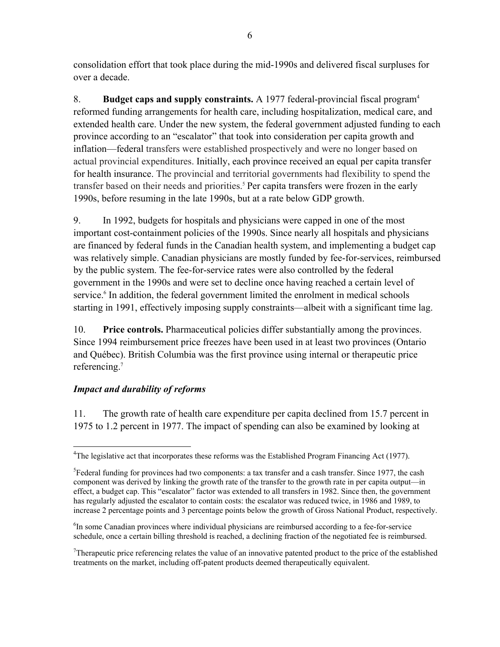consolidation effort that took place during the mid-1990s and delivered fiscal surpluses for over a decade.

8. **Budget caps and supply constraints.** A 1977 federal-provincial fiscal program4 reformed funding arrangements for health care, including hospitalization, medical care, and extended health care. Under the new system, the federal government adjusted funding to each province according to an "escalator" that took into consideration per capita growth and inflation—federal transfers were established prospectively and were no longer based on actual provincial expenditures. Initially, each province received an equal per capita transfer for health insurance. The provincial and territorial governments had flexibility to spend the transfer based on their needs and priorities.<sup>5</sup> Per capita transfers were frozen in the early 1990s, before resuming in the late 1990s, but at a rate below GDP growth.

9. In 1992, budgets for hospitals and physicians were capped in one of the most important cost-containment policies of the 1990s. Since nearly all hospitals and physicians are financed by federal funds in the Canadian health system, and implementing a budget cap was relatively simple. Canadian physicians are mostly funded by fee-for-services, reimbursed by the public system. The fee-for-service rates were also controlled by the federal government in the 1990s and were set to decline once having reached a certain level of service.<sup>6</sup> In addition, the federal government limited the enrolment in medical schools starting in 1991, effectively imposing supply constraints—albeit with a significant time lag.

10. **Price controls.** Pharmaceutical policies differ substantially among the provinces. Since 1994 reimbursement price freezes have been used in at least two provinces (Ontario and Québec). British Columbia was the first province using internal or therapeutic price referencing.7

## *Impact and durability of reforms*

 $\overline{a}$ 

11. The growth rate of health care expenditure per capita declined from 15.7 percent in 1975 to 1.2 percent in 1977. The impact of spending can also be examined by looking at

<sup>6</sup>In some Canadian provinces where individual physicians are reimbursed according to a fee-for-service schedule, once a certain billing threshold is reached, a declining fraction of the negotiated fee is reimbursed.

Therapeutic price referencing relates the value of an innovative patented product to the price of the established treatments on the market, including off-patent products deemed therapeutically equivalent.

<sup>&</sup>lt;sup>4</sup>The legislative act that incorporates these reforms was the Established Program Financing Act (1977).

<sup>&</sup>lt;sup>5</sup>Federal funding for provinces had two components: a tax transfer and a cash transfer. Since 1977, the cash component was derived by linking the growth rate of the transfer to the growth rate in per capita output—in effect, a budget cap. This "escalator" factor was extended to all transfers in 1982. Since then, the government has regularly adjusted the escalator to contain costs: the escalator was reduced twice, in 1986 and 1989, to increase 2 percentage points and 3 percentage points below the growth of Gross National Product, respectively.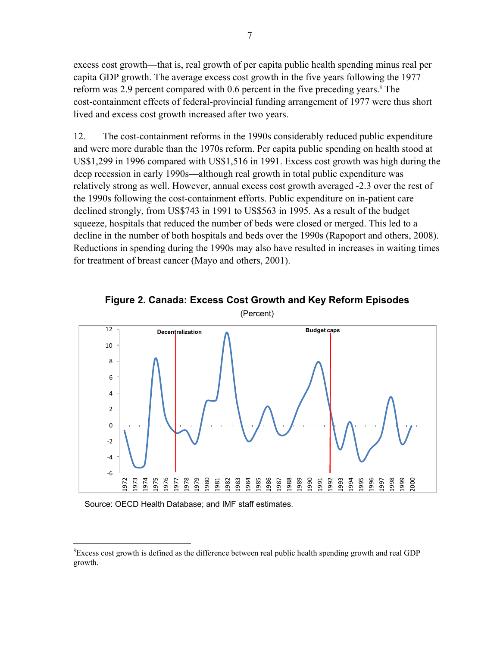excess cost growth—that is, real growth of per capita public health spending minus real per capita GDP growth. The average excess cost growth in the five years following the 1977 reform was 2.9 percent compared with 0.6 percent in the five preceding years.<sup>8</sup> The cost-containment effects of federal-provincial funding arrangement of 1977 were thus short lived and excess cost growth increased after two years.

12. The cost-containment reforms in the 1990s considerably reduced public expenditure and were more durable than the 1970s reform. Per capita public spending on health stood at US\$1,299 in 1996 compared with US\$1,516 in 1991. Excess cost growth was high during the deep recession in early 1990s—although real growth in total public expenditure was relatively strong as well. However, annual excess cost growth averaged -2.3 over the rest of the 1990s following the cost-containment efforts. Public expenditure on in-patient care declined strongly, from US\$743 in 1991 to US\$563 in 1995. As a result of the budget squeeze, hospitals that reduced the number of beds were closed or merged. This led to a decline in the number of both hospitals and beds over the 1990s (Rapoport and others, 2008). Reductions in spending during the 1990s may also have resulted in increases in waiting times for treatment of breast cancer (Mayo and others, 2001).



**Figure 2. Canada: Excess Cost Growth and Key Reform Episodes**  (Percent)

Source: OECD Health Database; and IMF staff estimates.

 $\overline{a}$ 

 ${}^{8}$ Excess cost growth is defined as the difference between real public health spending growth and real GDP growth.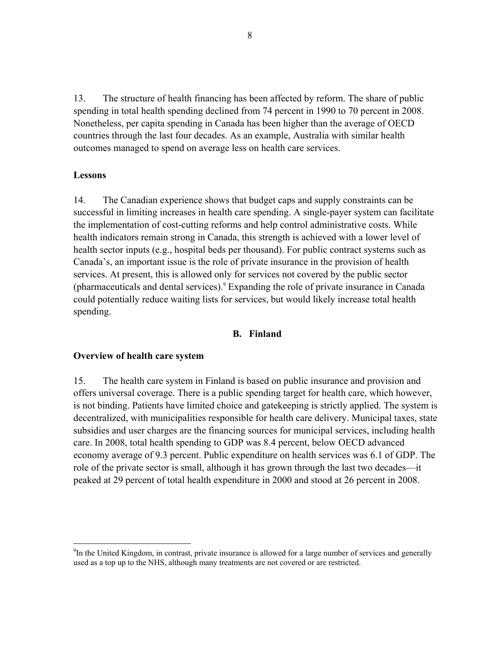13. The structure of health financing has been affected by reform. The share of public spending in total health spending declined from 74 percent in 1990 to 70 percent in 2008. Nonetheless, per capita spending in Canada has been higher than the average of OECD countries through the last four decades. As an example, Australia with similar health outcomes managed to spend on average less on health care services.

#### **Lessons**

 $\overline{a}$ 

14. The Canadian experience shows that budget caps and supply constraints can be successful in limiting increases in health care spending. A single-payer system can facilitate the implementation of cost-cutting reforms and help control administrative costs. While health indicators remain strong in Canada, this strength is achieved with a lower level of health sector inputs (e.g., hospital beds per thousand). For public contract systems such as Canada's, an important issue is the role of private insurance in the provision of health services. At present, this is allowed only for services not covered by the public sector (pharmaceuticals and dental services).9 Expanding the role of private insurance in Canada could potentially reduce waiting lists for services, but would likely increase total health spending.

#### **B. Finland**

#### **Overview of health care system**

15. The health care system in Finland is based on public insurance and provision and offers universal coverage. There is a public spending target for health care, which however, is not binding. Patients have limited choice and gatekeeping is strictly applied. The system is decentralized, with municipalities responsible for health care delivery. Municipal taxes, state subsidies and user charges are the financing sources for municipal services, including health care. In 2008, total health spending to GDP was 8.4 percent, below OECD advanced economy average of 9.3 percent. Public expenditure on health services was 6.1 of GDP. The role of the private sector is small, although it has grown through the last two decades—it peaked at 29 percent of total health expenditure in 2000 and stood at 26 percent in 2008.

<sup>&</sup>lt;sup>9</sup>In the United Kingdom, in contrast, private insurance is allowed for a large number of services and generally used as a top up to the NHS, although many treatments are not covered or are restricted.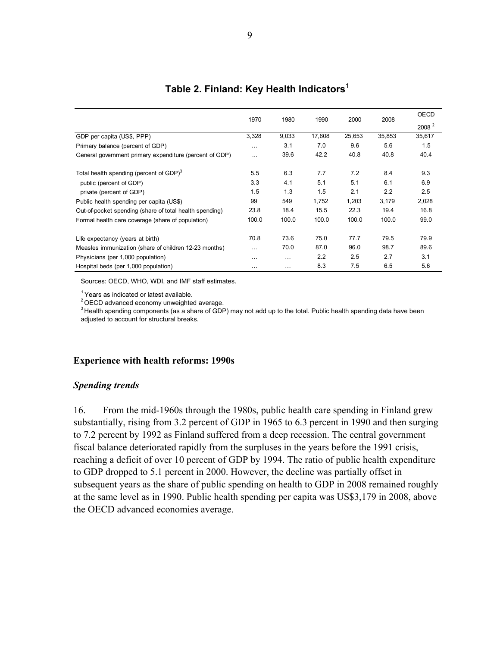|                                                         | 1970     | 1980     | 1990   | 2000   | 2008   | OECD              |
|---------------------------------------------------------|----------|----------|--------|--------|--------|-------------------|
|                                                         |          |          |        |        |        | 2008 <sup>2</sup> |
| GDP per capita (US\$, PPP)                              | 3,328    | 9,033    | 17,608 | 25,653 | 35,853 | 35,617            |
| Primary balance (percent of GDP)                        | $\cdots$ | 3.1      | 7.0    | 9.6    | 5.6    | 1.5               |
| General government primary expenditure (percent of GDP) | $\cdots$ | 39.6     | 42.2   | 40.8   | 40.8   | 40.4              |
| Total health spending (percent of GDP) <sup>3</sup>     | 5.5      | 6.3      | 7.7    | 7.2    | 8.4    | 9.3               |
| public (percent of GDP)                                 | 3.3      | 4.1      | 5.1    | 5.1    | 6.1    | 6.9               |
| private (percent of GDP)                                | 1.5      | 1.3      | 1.5    | 2.1    | 2.2    | 2.5               |
| Public health spending per capita (US\$)                | 99       | 549      | 1,752  | 1,203  | 3,179  | 2,028             |
| Out-of-pocket spending (share of total health spending) | 23.8     | 18.4     | 15.5   | 22.3   | 19.4   | 16.8              |
| Formal health care coverage (share of population)       | 100.0    | 100.0    | 100.0  | 100.0  | 100.0  | 99.0              |
| Life expectancy (years at birth)                        | 70.8     | 73.6     | 75.0   | 77.7   | 79.5   | 79.9              |
| Measles immunization (share of children 12-23 months)   | $\cdots$ | 70.0     | 87.0   | 96.0   | 98.7   | 89.6              |
| Physicians (per 1,000 population)                       | .        | $\cdots$ | 2.2    | 2.5    | 2.7    | 3.1               |
| Hospital beds (per 1,000 population)                    | $\cdots$ | .        | 8.3    | 7.5    | 6.5    | 5.6               |

## **Table 2. Finland: Key Health Indicators**<sup>1</sup>

Sources: OECD, WHO, WDI, and IMF staff estimates.

 $<sup>1</sup>$  Years as indicated or latest available.</sup>

<sup>2</sup> OECD advanced economy unweighted average.

<sup>3</sup> Health spending components (as a share of GDP) may not add up to the total. Public health spending data have been adjusted to account for structural breaks.

### **Experience with health reforms: 1990s**

#### *Spending trends*

16. From the mid-1960s through the 1980s, public health care spending in Finland grew substantially, rising from 3.2 percent of GDP in 1965 to 6.3 percent in 1990 and then surging to 7.2 percent by 1992 as Finland suffered from a deep recession. The central government fiscal balance deteriorated rapidly from the surpluses in the years before the 1991 crisis, reaching a deficit of over 10 percent of GDP by 1994. The ratio of public health expenditure to GDP dropped to 5.1 percent in 2000. However, the decline was partially offset in subsequent years as the share of public spending on health to GDP in 2008 remained roughly at the same level as in 1990. Public health spending per capita was US\$3,179 in 2008, above the OECD advanced economies average.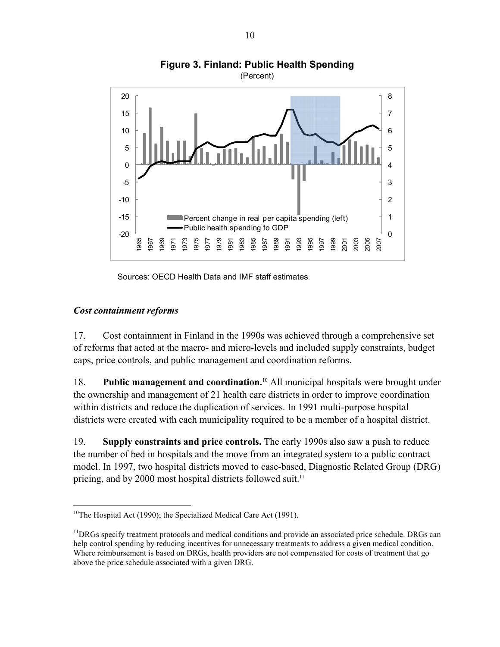

**Figure 3. Finland: Public Health Spending** 

Sources: OECD Health Data and IMF staff estimates.

## *Cost containment reforms*

1

17. Cost containment in Finland in the 1990s was achieved through a comprehensive set of reforms that acted at the macro- and micro-levels and included supply constraints, budget caps, price controls, and public management and coordination reforms.

18. **Public management and coordination.**<sup>10</sup> All municipal hospitals were brought under the ownership and management of 21 health care districts in order to improve coordination within districts and reduce the duplication of services. In 1991 multi-purpose hospital districts were created with each municipality required to be a member of a hospital district.

19. **Supply constraints and price controls.** The early 1990s also saw a push to reduce the number of bed in hospitals and the move from an integrated system to a public contract model. In 1997, two hospital districts moved to case-based, Diagnostic Related Group (DRG) pricing, and by 2000 most hospital districts followed suit.<sup>11</sup>

<sup>&</sup>lt;sup>10</sup>The Hospital Act (1990); the Specialized Medical Care Act (1991).

 $<sup>11</sup>DRGs specify treatment protocols and medical conditions and provide an associated price schedule. DRGs can$ </sup> help control spending by reducing incentives for unnecessary treatments to address a given medical condition. Where reimbursement is based on DRGs, health providers are not compensated for costs of treatment that go above the price schedule associated with a given DRG.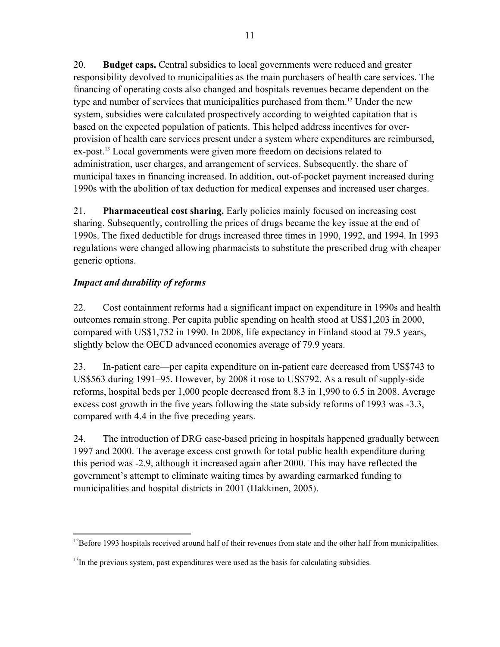20. **Budget caps.** Central subsidies to local governments were reduced and greater responsibility devolved to municipalities as the main purchasers of health care services. The financing of operating costs also changed and hospitals revenues became dependent on the type and number of services that municipalities purchased from them.12 Under the new system, subsidies were calculated prospectively according to weighted capitation that is based on the expected population of patients. This helped address incentives for overprovision of health care services present under a system where expenditures are reimbursed, ex-post.<sup>13</sup> Local governments were given more freedom on decisions related to administration, user charges, and arrangement of services. Subsequently, the share of municipal taxes in financing increased. In addition, out-of-pocket payment increased during 1990s with the abolition of tax deduction for medical expenses and increased user charges.

21. **Pharmaceutical cost sharing.** Early policies mainly focused on increasing cost sharing. Subsequently, controlling the prices of drugs became the key issue at the end of 1990s. The fixed deductible for drugs increased three times in 1990, 1992, and 1994. In 1993 regulations were changed allowing pharmacists to substitute the prescribed drug with cheaper generic options.

## *Impact and durability of reforms*

22. Cost containment reforms had a significant impact on expenditure in 1990s and health outcomes remain strong. Per capita public spending on health stood at US\$1,203 in 2000, compared with US\$1,752 in 1990. In 2008, life expectancy in Finland stood at 79.5 years, slightly below the OECD advanced economies average of 79.9 years.

23. In-patient care—per capita expenditure on in-patient care decreased from US\$743 to US\$563 during 1991–95. However, by 2008 it rose to US\$792. As a result of supply-side reforms, hospital beds per 1,000 people decreased from 8.3 in 1,990 to 6.5 in 2008. Average excess cost growth in the five years following the state subsidy reforms of 1993 was -3.3, compared with 4.4 in the five preceding years.

24. The introduction of DRG case-based pricing in hospitals happened gradually between 1997 and 2000. The average excess cost growth for total public health expenditure during this period was -2.9, although it increased again after 2000. This may have reflected the government's attempt to eliminate waiting times by awarding earmarked funding to municipalities and hospital districts in 2001 (Hakkinen, 2005).

<sup>1</sup>  $12$ Before 1993 hospitals received around half of their revenues from state and the other half from municipalities.

 $<sup>13</sup>$ In the previous system, past expenditures were used as the basis for calculating subsidies.</sup>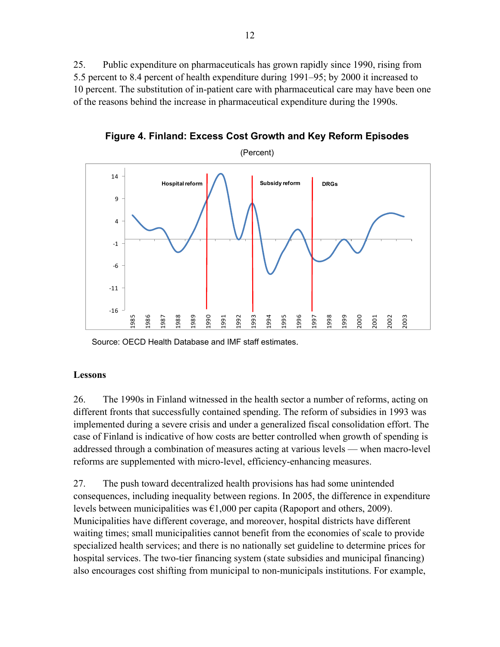25. Public expenditure on pharmaceuticals has grown rapidly since 1990, rising from 5.5 percent to 8.4 percent of health expenditure during 1991–95; by 2000 it increased to 10 percent. The substitution of in-patient care with pharmaceutical care may have been one of the reasons behind the increase in pharmaceutical expenditure during the 1990s.

**Figure 4. Finland: Excess Cost Growth and Key Reform Episodes** 



Source: OECD Health Database and IMF staff estimates.

## **Lessons**

26. The 1990s in Finland witnessed in the health sector a number of reforms, acting on different fronts that successfully contained spending. The reform of subsidies in 1993 was implemented during a severe crisis and under a generalized fiscal consolidation effort. The case of Finland is indicative of how costs are better controlled when growth of spending is addressed through a combination of measures acting at various levels — when macro-level reforms are supplemented with micro-level, efficiency-enhancing measures.

27. The push toward decentralized health provisions has had some unintended consequences, including inequality between regions. In 2005, the difference in expenditure levels between municipalities was  $\epsilon 1,000$  per capita (Rapoport and others, 2009). Municipalities have different coverage, and moreover, hospital districts have different waiting times; small municipalities cannot benefit from the economies of scale to provide specialized health services; and there is no nationally set guideline to determine prices for hospital services. The two-tier financing system (state subsidies and municipal financing) also encourages cost shifting from municipal to non-municipals institutions. For example,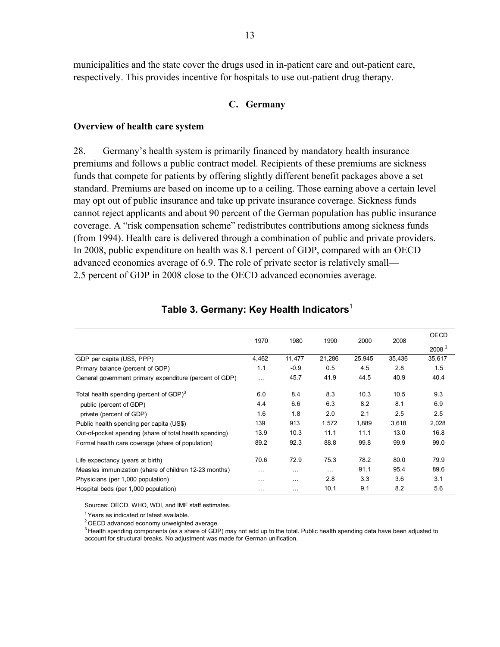municipalities and the state cover the drugs used in in-patient care and out-patient care, respectively. This provides incentive for hospitals to use out-patient drug therapy.

### **C. Germany**

#### **Overview of health care system**

28. Germany's health system is primarily financed by mandatory health insurance premiums and follows a public contract model. Recipients of these premiums are sickness funds that compete for patients by offering slightly different benefit packages above a set standard. Premiums are based on income up to a ceiling. Those earning above a certain level may opt out of public insurance and take up private insurance coverage. Sickness funds cannot reject applicants and about 90 percent of the German population has public insurance coverage. A "risk compensation scheme" redistributes contributions among sickness funds (from 1994). Health care is delivered through a combination of public and private providers. In 2008, public expenditure on health was 8.1 percent of GDP, compared with an OECD advanced economies average of 6.9. The role of private sector is relatively small— 2.5 percent of GDP in 2008 close to the OECD advanced economies average.

|                                                         | 1970     | 1980     | 1990     | 2000   | 2008   | OECD              |
|---------------------------------------------------------|----------|----------|----------|--------|--------|-------------------|
|                                                         |          |          |          |        |        | 2008 <sup>2</sup> |
| GDP per capita (US\$, PPP)                              | 4,462    | 11,477   | 21,286   | 25,945 | 35,436 | 35,617            |
| Primary balance (percent of GDP)                        | 1.1      | $-0.9$   | 0.5      | 4.5    | 2.8    | 1.5               |
| General government primary expenditure (percent of GDP) | $\cdots$ | 45.7     | 41.9     | 44.5   | 40.9   | 40.4              |
| Total health spending (percent of GDP) <sup>3</sup>     | 6.0      | 8.4      | 8.3      | 10.3   | 10.5   | 9.3               |
| public (percent of GDP)                                 | 4.4      | 6.6      | 6.3      | 8.2    | 8.1    | 6.9               |
| private (percent of GDP)                                | 1.6      | 1.8      | 2.0      | 2.1    | 2.5    | 2.5               |
| Public health spending per capita (US\$)                | 139      | 913      | 1,572    | 1,889  | 3,618  | 2,028             |
| Out-of-pocket spending (share of total health spending) | 13.9     | 10.3     | 11.1     | 11.1   | 13.0   | 16.8              |
| Formal health care coverage (share of population)       | 89.2     | 92.3     | 88.8     | 99.8   | 99.9   | 99.0              |
| Life expectancy (years at birth)                        | 70.6     | 72.9     | 75.3     | 78.2   | 80.0   | 79.9              |
| Measles immunization (share of children 12-23 months)   | $\cdots$ | $\cdots$ | $\cdots$ | 91.1   | 95.4   | 89.6              |
| Physicians (per 1,000 population)                       | .        | $\cdots$ | 2.8      | 3.3    | 3.6    | 3.1               |
| Hospital beds (per 1,000 population)                    | $\cdots$ | $\cdots$ | 10.1     | 9.1    | 8.2    | 5.6               |

### **Table 3. Germany: Key Health Indicators**<sup>1</sup>

Sources: OECD, WHO, WDI, and IMF staff estimates.

 $<sup>1</sup>$  Years as indicated or latest available.</sup>

 $2$  OECD advanced economy unweighted average.

 $3$  Health spending components (as a share of GDP) may not add up to the total. Public health spending data have been adjusted to account for structural breaks. No adjustment was made for German unification.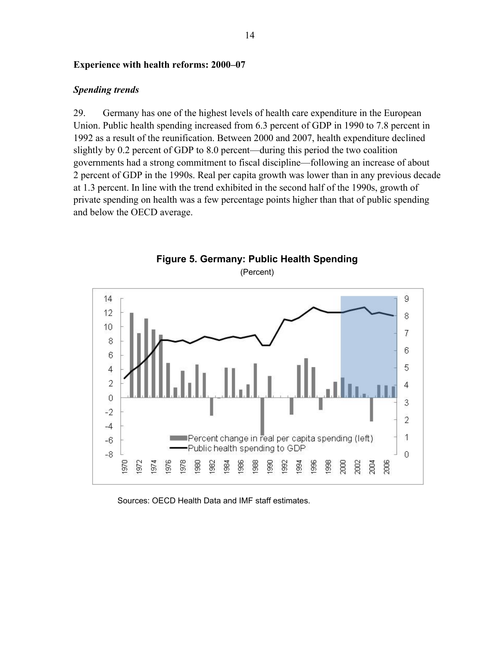### **Experience with health reforms: 2000–07**

### *Spending trends*

29. Germany has one of the highest levels of health care expenditure in the European Union. Public health spending increased from 6.3 percent of GDP in 1990 to 7.8 percent in 1992 as a result of the reunification. Between 2000 and 2007, health expenditure declined slightly by 0.2 percent of GDP to 8.0 percent—during this period the two coalition governments had a strong commitment to fiscal discipline—following an increase of about 2 percent of GDP in the 1990s. Real per capita growth was lower than in any previous decade at 1.3 percent. In line with the trend exhibited in the second half of the 1990s, growth of private spending on health was a few percentage points higher than that of public spending and below the OECD average.



Sources: OECD Health Data and IMF staff estimates.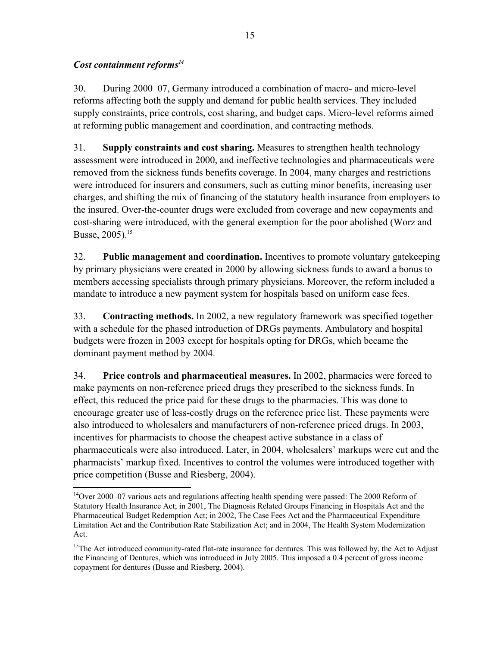## *Cost containment reforms14*

30. During 2000–07, Germany introduced a combination of macro- and micro-level reforms affecting both the supply and demand for public health services. They included supply constraints, price controls, cost sharing, and budget caps. Micro-level reforms aimed at reforming public management and coordination, and contracting methods.

31. **Supply constraints and cost sharing.** Measures to strengthen health technology assessment were introduced in 2000, and ineffective technologies and pharmaceuticals were removed from the sickness funds benefits coverage. In 2004, many charges and restrictions were introduced for insurers and consumers, such as cutting minor benefits, increasing user charges, and shifting the mix of financing of the statutory health insurance from employers to the insured. Over-the-counter drugs were excluded from coverage and new copayments and cost-sharing were introduced, with the general exemption for the poor abolished (Worz and Busse, 2005).15

32. **Public management and coordination.** Incentives to promote voluntary gatekeeping by primary physicians were created in 2000 by allowing sickness funds to award a bonus to members accessing specialists through primary physicians. Moreover, the reform included a mandate to introduce a new payment system for hospitals based on uniform case fees.

33. **Contracting methods.** In 2002, a new regulatory framework was specified together with a schedule for the phased introduction of DRGs payments. Ambulatory and hospital budgets were frozen in 2003 except for hospitals opting for DRGs, which became the dominant payment method by 2004.

34. **Price controls and pharmaceutical measures.** In 2002, pharmacies were forced to make payments on non-reference priced drugs they prescribed to the sickness funds. In effect, this reduced the price paid for these drugs to the pharmacies. This was done to encourage greater use of less-costly drugs on the reference price list. These payments were also introduced to wholesalers and manufacturers of non-reference priced drugs. In 2003, incentives for pharmacists to choose the cheapest active substance in a class of pharmaceuticals were also introduced. Later, in 2004, wholesalers' markups were cut and the pharmacists' markup fixed. Incentives to control the volumes were introduced together with price competition (Busse and Riesberg, 2004).

 $\overline{a}$  $14$ Over 2000–07 various acts and regulations affecting health spending were passed: The 2000 Reform of Statutory Health Insurance Act; in 2001, The Diagnosis Related Groups Financing in Hospitals Act and the Pharmaceutical Budget Redemption Act; in 2002, The Case Fees Act and the Pharmaceutical Expenditure Limitation Act and the Contribution Rate Stabilization Act; and in 2004, The Health System Modernization Act.

 $15$ The Act introduced community-rated flat-rate insurance for dentures. This was followed by, the Act to Adjust the Financing of Dentures, which was introduced in July 2005. This imposed a 0.4 percent of gross income copayment for dentures (Busse and Riesberg, 2004).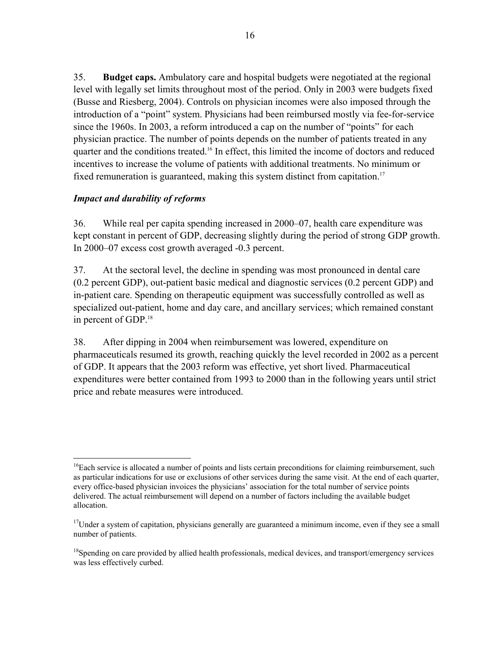35. **Budget caps.** Ambulatory care and hospital budgets were negotiated at the regional level with legally set limits throughout most of the period. Only in 2003 were budgets fixed (Busse and Riesberg, 2004). Controls on physician incomes were also imposed through the introduction of a "point" system. Physicians had been reimbursed mostly via fee-for-service since the 1960s. In 2003, a reform introduced a cap on the number of "points" for each physician practice. The number of points depends on the number of patients treated in any quarter and the conditions treated.<sup>16</sup> In effect, this limited the income of doctors and reduced incentives to increase the volume of patients with additional treatments. No minimum or fixed remuneration is guaranteed, making this system distinct from capitation.<sup>17</sup>

## *Impact and durability of reforms*

36. While real per capita spending increased in 2000–07, health care expenditure was kept constant in percent of GDP, decreasing slightly during the period of strong GDP growth. In 2000–07 excess cost growth averaged -0.3 percent.

37. At the sectoral level, the decline in spending was most pronounced in dental care (0.2 percent GDP), out-patient basic medical and diagnostic services (0.2 percent GDP) and in-patient care. Spending on therapeutic equipment was successfully controlled as well as specialized out-patient, home and day care, and ancillary services; which remained constant in percent of GDP.<sup>18</sup>

38. After dipping in 2004 when reimbursement was lowered, expenditure on pharmaceuticals resumed its growth, reaching quickly the level recorded in 2002 as a percent of GDP. It appears that the 2003 reform was effective, yet short lived. Pharmaceutical expenditures were better contained from 1993 to 2000 than in the following years until strict price and rebate measures were introduced.

 $\overline{a}$ <sup>16</sup>Each service is allocated a number of points and lists certain preconditions for claiming reimbursement, such as particular indications for use or exclusions of other services during the same visit. At the end of each quarter, every office-based physician invoices the physicians' association for the total number of service points delivered. The actual reimbursement will depend on a number of factors including the available budget allocation.

 $17$ Under a system of capitation, physicians generally are guaranteed a minimum income, even if they see a small number of patients.

<sup>&</sup>lt;sup>18</sup>Spending on care provided by allied health professionals, medical devices, and transport/emergency services was less effectively curbed.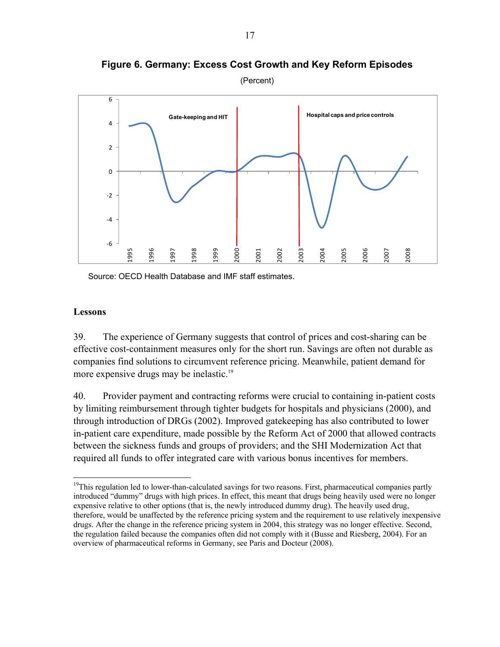

**Figure 6. Germany: Excess Cost Growth and Key Reform Episodes** 

(Percent)

Source: OECD Health Database and IMF staff estimates.

### **Lessons**

39. The experience of Germany suggests that control of prices and cost-sharing can be effective cost-containment measures only for the short run. Savings are often not durable as companies find solutions to circumvent reference pricing. Meanwhile, patient demand for more expensive drugs may be inelastic.<sup>19</sup>

40. Provider payment and contracting reforms were crucial to containing in-patient costs by limiting reimbursement through tighter budgets for hospitals and physicians (2000), and through introduction of DRGs (2002). Improved gatekeeping has also contributed to lower in-patient care expenditure, made possible by the Reform Act of 2000 that allowed contracts between the sickness funds and groups of providers; and the SHI Modernization Act that required all funds to offer integrated care with various bonus incentives for members.

 $\overline{a}$ <sup>19</sup>This regulation led to lower-than-calculated savings for two reasons. First, pharmaceutical companies partly introduced "dummy" drugs with high prices. In effect, this meant that drugs being heavily used were no longer expensive relative to other options (that is, the newly introduced dummy drug). The heavily used drug, therefore, would be unaffected by the reference pricing system and the requirement to use relatively inexpensive drugs. After the change in the reference pricing system in 2004, this strategy was no longer effective. Second, the regulation failed because the companies often did not comply with it (Busse and Riesberg, 2004). For an overview of pharmaceutical reforms in Germany, see Paris and Docteur (2008).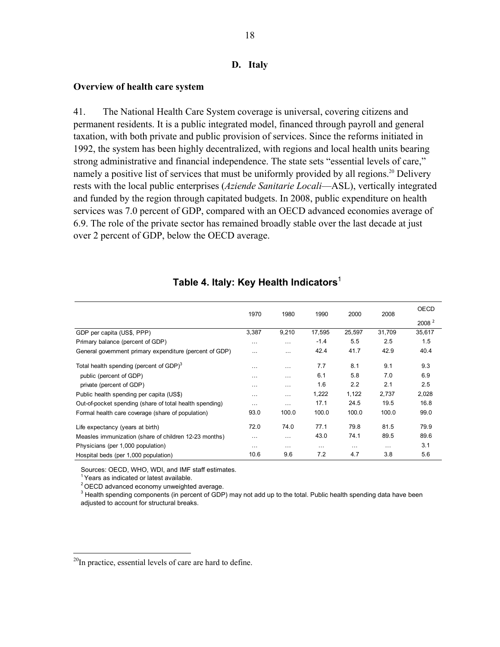#### **D. Italy**

#### **Overview of health care system**

41. The National Health Care System coverage is universal, covering citizens and permanent residents. It is a public integrated model, financed through payroll and general taxation, with both private and public provision of services. Since the reforms initiated in 1992, the system has been highly decentralized, with regions and local health units bearing strong administrative and financial independence. The state sets "essential levels of care," namely a positive list of services that must be uniformly provided by all regions.<sup>20</sup> Delivery rests with the local public enterprises (*Aziende Sanitarie Locali*—ASL), vertically integrated and funded by the region through capitated budgets. In 2008, public expenditure on health services was 7.0 percent of GDP, compared with an OECD advanced economies average of 6.9. The role of the private sector has remained broadly stable over the last decade at just over 2 percent of GDP, below the OECD average.

|                                                         | 1970     | 1980     | 1990   | 2000     | 2008     | <b>OECD</b>       |
|---------------------------------------------------------|----------|----------|--------|----------|----------|-------------------|
|                                                         |          |          |        |          |          | 2008 <sup>2</sup> |
| GDP per capita (US\$, PPP)                              | 3,387    | 9,210    | 17,595 | 25,597   | 31,709   | 35,617            |
| Primary balance (percent of GDP)                        | $\cdots$ | $\cdots$ | $-1.4$ | 5.5      | 2.5      | 1.5               |
| General government primary expenditure (percent of GDP) | $\cdots$ | $\cdots$ | 42.4   | 41.7     | 42.9     | 40.4              |
| Total health spending (percent of GDP) $3$              | $\cdots$ | .        | 7.7    | 8.1      | 9.1      | 9.3               |
| public (percent of GDP)                                 | $\cdots$ | $\cdots$ | 6.1    | 5.8      | 7.0      | 6.9               |
| private (percent of GDP)                                | $\cdots$ | $\cdots$ | 1.6    | 2.2      | 2.1      | 2.5               |
| Public health spending per capita (US\$)                | .        | $\cdots$ | 1,222  | 1,122    | 2,737    | 2,028             |
| Out-of-pocket spending (share of total health spending) | $\cdots$ | $\cdots$ | 17.1   | 24.5     | 19.5     | 16.8              |
| Formal health care coverage (share of population)       | 93.0     | 100.0    | 100.0  | 100.0    | 100.0    | 99.0              |
| Life expectancy (years at birth)                        | 72.0     | 74.0     | 77.1   | 79.8     | 81.5     | 79.9              |
| Measles immunization (share of children 12-23 months)   | $\cdots$ | .        | 43.0   | 74.1     | 89.5     | 89.6              |
| Physicians (per 1,000 population)                       | $\cdots$ | .        | .      | $\cdots$ | $\cdots$ | 3.1               |
| Hospital beds (per 1,000 population)                    | 10.6     | 9.6      | 7.2    | 4.7      | 3.8      | 5.6               |

## **Table 4. Italy: Key Health Indicators**<sup>1</sup>

Sources: OECD, WHO, WDI, and IMF staff estimates.

<sup>1</sup> Years as indicated or latest available.

 $\overline{a}$ 

2 OECD advanced economy unweighted average.

<sup>3</sup> Health spending components (in percent of GDP) may not add up to the total. Public health spending data have been adjusted to account for structural breaks.

 $^{20}$ In practice, essential levels of care are hard to define.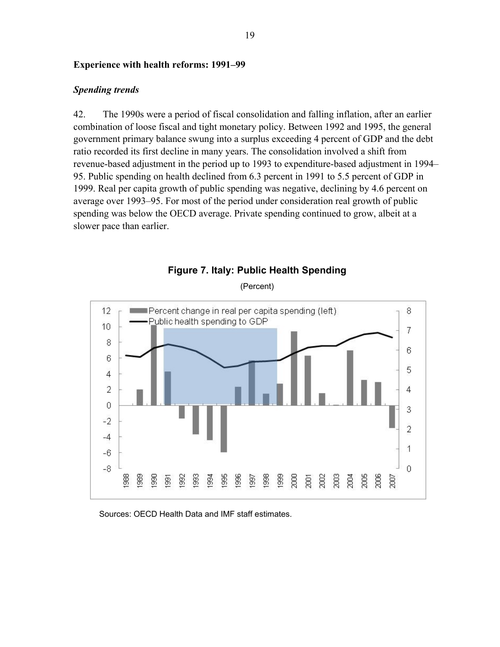#### **Experience with health reforms: 1991–99**

#### *Spending trends*

42. The 1990s were a period of fiscal consolidation and falling inflation, after an earlier combination of loose fiscal and tight monetary policy. Between 1992 and 1995, the general government primary balance swung into a surplus exceeding 4 percent of GDP and the debt ratio recorded its first decline in many years. The consolidation involved a shift from revenue-based adjustment in the period up to 1993 to expenditure-based adjustment in 1994– 95. Public spending on health declined from 6.3 percent in 1991 to 5.5 percent of GDP in 1999. Real per capita growth of public spending was negative, declining by 4.6 percent on average over 1993–95. For most of the period under consideration real growth of public spending was below the OECD average. Private spending continued to grow, albeit at a slower pace than earlier.



**Figure 7. Italy: Public Health Spending** 

(Percent)

#### Sources: OECD Health Data and IMF staff estimates.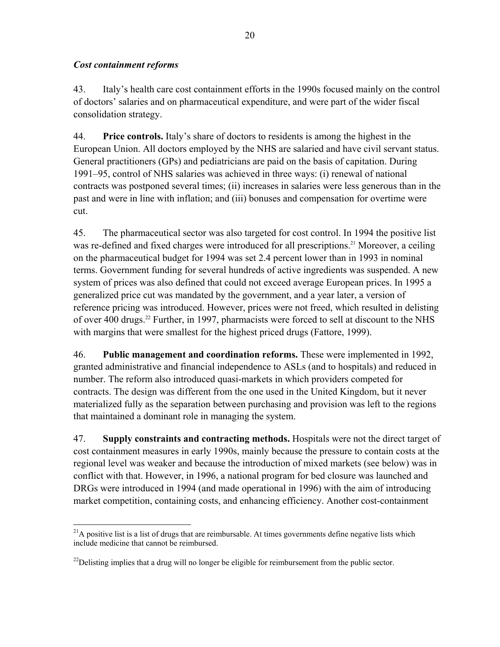## *Cost containment reforms*

 $\overline{a}$ 

43. Italy's health care cost containment efforts in the 1990s focused mainly on the control of doctors' salaries and on pharmaceutical expenditure, and were part of the wider fiscal consolidation strategy.

44. **Price controls.** Italy's share of doctors to residents is among the highest in the European Union. All doctors employed by the NHS are salaried and have civil servant status. General practitioners (GPs) and pediatricians are paid on the basis of capitation. During 1991–95, control of NHS salaries was achieved in three ways: (i) renewal of national contracts was postponed several times; (ii) increases in salaries were less generous than in the past and were in line with inflation; and (iii) bonuses and compensation for overtime were cut.

45. The pharmaceutical sector was also targeted for cost control. In 1994 the positive list was re-defined and fixed charges were introduced for all prescriptions.<sup>21</sup> Moreover, a ceiling on the pharmaceutical budget for 1994 was set 2.4 percent lower than in 1993 in nominal terms. Government funding for several hundreds of active ingredients was suspended. A new system of prices was also defined that could not exceed average European prices. In 1995 a generalized price cut was mandated by the government, and a year later, a version of reference pricing was introduced. However, prices were not freed, which resulted in delisting of over 400 drugs.<sup>22</sup> Further, in 1997, pharmacists were forced to sell at discount to the NHS with margins that were smallest for the highest priced drugs (Fattore, 1999).

46. **Public management and coordination reforms.** These were implemented in 1992, granted administrative and financial independence to ASLs (and to hospitals) and reduced in number. The reform also introduced quasi-markets in which providers competed for contracts. The design was different from the one used in the United Kingdom, but it never materialized fully as the separation between purchasing and provision was left to the regions that maintained a dominant role in managing the system.

47. **Supply constraints and contracting methods.** Hospitals were not the direct target of cost containment measures in early 1990s, mainly because the pressure to contain costs at the regional level was weaker and because the introduction of mixed markets (see below) was in conflict with that. However, in 1996, a national program for bed closure was launched and DRGs were introduced in 1994 (and made operational in 1996) with the aim of introducing market competition, containing costs, and enhancing efficiency. Another cost-containment

<sup>&</sup>lt;sup>21</sup>A positive list is a list of drugs that are reimbursable. At times governments define negative lists which include medicine that cannot be reimbursed.

 $^{22}$ Delisting implies that a drug will no longer be eligible for reimbursement from the public sector.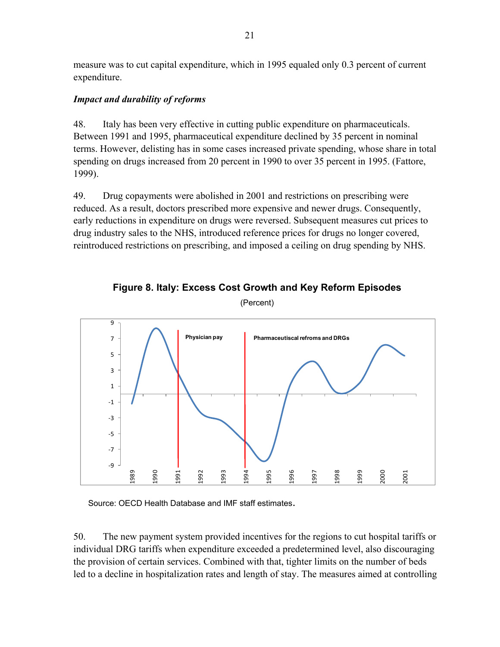measure was to cut capital expenditure, which in 1995 equaled only 0.3 percent of current expenditure.

## *Impact and durability of reforms*

48. Italy has been very effective in cutting public expenditure on pharmaceuticals. Between 1991 and 1995, pharmaceutical expenditure declined by 35 percent in nominal terms. However, delisting has in some cases increased private spending, whose share in total spending on drugs increased from 20 percent in 1990 to over 35 percent in 1995. (Fattore, 1999).

49. Drug copayments were abolished in 2001 and restrictions on prescribing were reduced. As a result, doctors prescribed more expensive and newer drugs. Consequently, early reductions in expenditure on drugs were reversed. Subsequent measures cut prices to drug industry sales to the NHS, introduced reference prices for drugs no longer covered, reintroduced restrictions on prescribing, and imposed a ceiling on drug spending by NHS.



**Figure 8. Italy: Excess Cost Growth and Key Reform Episodes** 

(Percent)

Source: OECD Health Database and IMF staff estimates.

50. The new payment system provided incentives for the regions to cut hospital tariffs or individual DRG tariffs when expenditure exceeded a predetermined level, also discouraging the provision of certain services. Combined with that, tighter limits on the number of beds led to a decline in hospitalization rates and length of stay. The measures aimed at controlling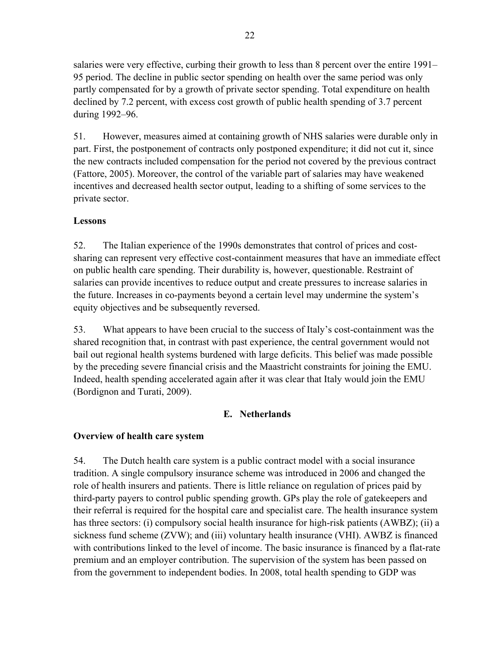salaries were very effective, curbing their growth to less than 8 percent over the entire 1991– 95 period. The decline in public sector spending on health over the same period was only partly compensated for by a growth of private sector spending. Total expenditure on health declined by 7.2 percent, with excess cost growth of public health spending of 3.7 percent during 1992–96.

51. However, measures aimed at containing growth of NHS salaries were durable only in part. First, the postponement of contracts only postponed expenditure; it did not cut it, since the new contracts included compensation for the period not covered by the previous contract (Fattore, 2005). Moreover, the control of the variable part of salaries may have weakened incentives and decreased health sector output, leading to a shifting of some services to the private sector.

## **Lessons**

52. The Italian experience of the 1990s demonstrates that control of prices and costsharing can represent very effective cost-containment measures that have an immediate effect on public health care spending. Their durability is, however, questionable. Restraint of salaries can provide incentives to reduce output and create pressures to increase salaries in the future. Increases in co-payments beyond a certain level may undermine the system's equity objectives and be subsequently reversed.

53. What appears to have been crucial to the success of Italy's cost-containment was the shared recognition that, in contrast with past experience, the central government would not bail out regional health systems burdened with large deficits. This belief was made possible by the preceding severe financial crisis and the Maastricht constraints for joining the EMU. Indeed, health spending accelerated again after it was clear that Italy would join the EMU (Bordignon and Turati, 2009).

## **E. Netherlands**

## **Overview of health care system**

54. The Dutch health care system is a public contract model with a social insurance tradition. A single compulsory insurance scheme was introduced in 2006 and changed the role of health insurers and patients. There is little reliance on regulation of prices paid by third-party payers to control public spending growth. GPs play the role of gatekeepers and their referral is required for the hospital care and specialist care. The health insurance system has three sectors: (i) compulsory social health insurance for high-risk patients (AWBZ); (ii) a sickness fund scheme (ZVW); and (iii) voluntary health insurance (VHI). AWBZ is financed with contributions linked to the level of income. The basic insurance is financed by a flat-rate premium and an employer contribution. The supervision of the system has been passed on from the government to independent bodies. In 2008, total health spending to GDP was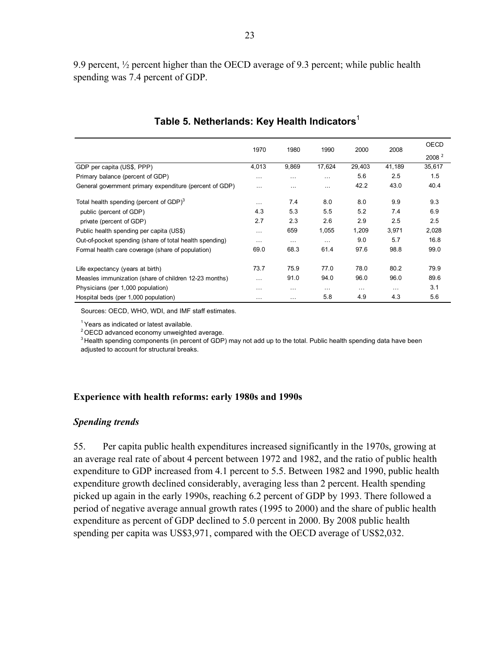9.9 percent, ½ percent higher than the OECD average of 9.3 percent; while public health spending was 7.4 percent of GDP.

|                                                         |           | 1970<br>1980 | 1990     | 2000     | 2008     | <b>OECD</b>       |
|---------------------------------------------------------|-----------|--------------|----------|----------|----------|-------------------|
|                                                         |           |              |          |          |          | 2008 <sup>2</sup> |
| GDP per capita (US\$, PPP)                              | 4,013     | 9,869        | 17,624   | 29,403   | 41,189   | 35,617            |
| Primary balance (percent of GDP)                        | $\cdots$  | $\cdots$     | $\cdots$ | 5.6      | 2.5      | 1.5               |
| General government primary expenditure (percent of GDP) | $\ddotsc$ | $\cdots$     | $\cdots$ | 42.2     | 43.0     | 40.4              |
| Total health spending (percent of GDP) $3$              | $\cdots$  | 7.4          | 8.0      | 8.0      | 9.9      | 9.3               |
| public (percent of GDP)                                 | 4.3       | 5.3          | 5.5      | 5.2      | 7.4      | 6.9               |
| private (percent of GDP)                                | 2.7       | 2.3          | 2.6      | 2.9      | 2.5      | 2.5               |
| Public health spending per capita (US\$)                | $\cdots$  | 659          | 1,055    | 1,209    | 3,971    | 2,028             |
| Out-of-pocket spending (share of total health spending) | $\cdots$  | $\cdots$     | $\cdots$ | 9.0      | 5.7      | 16.8              |
| Formal health care coverage (share of population)       | 69.0      | 68.3         | 61.4     | 97.6     | 98.8     | 99.0              |
| Life expectancy (years at birth)                        | 73.7      | 75.9         | 77.0     | 78.0     | 80.2     | 79.9              |
| Measles immunization (share of children 12-23 months)   | $\cdots$  | 91.0         | 94.0     | 96.0     | 96.0     | 89.6              |
| Physicians (per 1,000 population)                       | $\cdots$  | $\cdots$     | $\cdots$ | $\cdots$ | $\cdots$ | 3.1               |
| Hospital beds (per 1,000 population)                    | .         | $\cdots$     | 5.8      | 4.9      | 4.3      | 5.6               |

### **Table 5. Netherlands: Key Health Indicators**<sup>1</sup>

Sources: OECD, WHO, WDI, and IMF staff estimates.

 $<sup>1</sup>$  Years as indicated or latest available.</sup>

 $2$  OECD advanced economy unweighted average.

<sup>3</sup> Health spending components (in percent of GDP) may not add up to the total. Public health spending data have been adjusted to account for structural breaks.

### **Experience with health reforms: early 1980s and 1990s**

#### *Spending trends*

55. Per capita public health expenditures increased significantly in the 1970s, growing at an average real rate of about 4 percent between 1972 and 1982, and the ratio of public health expenditure to GDP increased from 4.1 percent to 5.5. Between 1982 and 1990, public health expenditure growth declined considerably, averaging less than 2 percent. Health spending picked up again in the early 1990s, reaching 6.2 percent of GDP by 1993. There followed a period of negative average annual growth rates (1995 to 2000) and the share of public health expenditure as percent of GDP declined to 5.0 percent in 2000. By 2008 public health spending per capita was US\$3,971, compared with the OECD average of US\$2,032.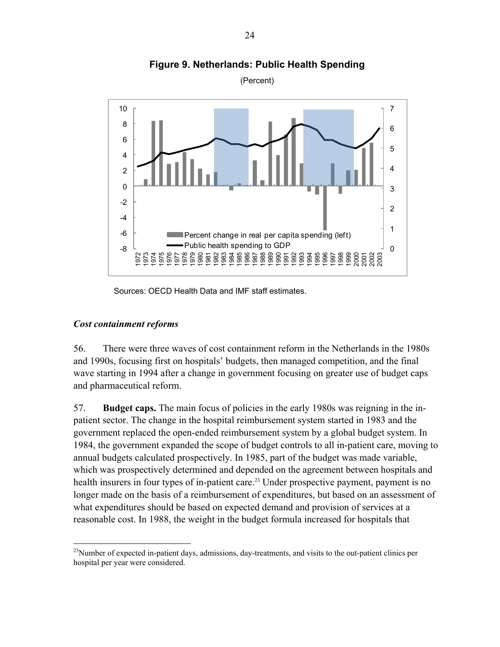

**Figure 9. Netherlands: Public Health Spending** 

(Percent)

Sources: OECD Health Data and IMF staff estimates.

### *Cost containment reforms*

1

56. There were three waves of cost containment reform in the Netherlands in the 1980s and 1990s, focusing first on hospitals' budgets, then managed competition, and the final wave starting in 1994 after a change in government focusing on greater use of budget caps and pharmaceutical reform.

57. **Budget caps.** The main focus of policies in the early 1980s was reigning in the inpatient sector. The change in the hospital reimbursement system started in 1983 and the government replaced the open-ended reimbursement system by a global budget system. In 1984, the government expanded the scope of budget controls to all in-patient care, moving to annual budgets calculated prospectively. In 1985, part of the budget was made variable, which was prospectively determined and depended on the agreement between hospitals and health insurers in four types of in-patient care.<sup>23</sup> Under prospective payment, payment is no longer made on the basis of a reimbursement of expenditures, but based on an assessment of what expenditures should be based on expected demand and provision of services at a reasonable cost. In 1988, the weight in the budget formula increased for hospitals that

<sup>&</sup>lt;sup>23</sup>Number of expected in-patient days, admissions, day-treatments, and visits to the out-patient clinics per hospital per year were considered.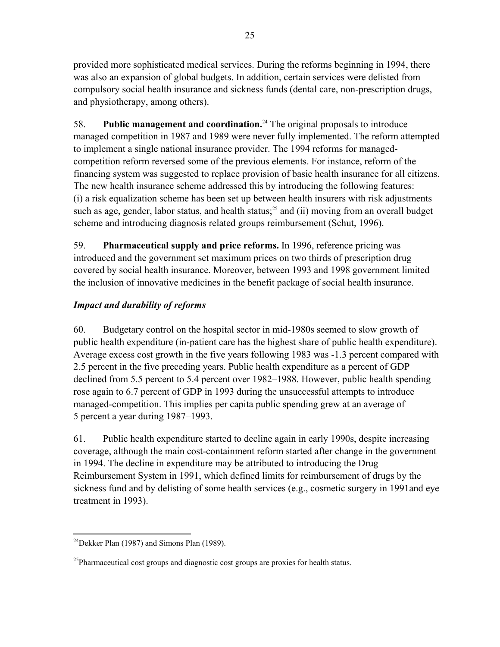provided more sophisticated medical services. During the reforms beginning in 1994, there was also an expansion of global budgets. In addition, certain services were delisted from compulsory social health insurance and sickness funds (dental care, non-prescription drugs, and physiotherapy, among others).

58. **Public management and coordination.**24 The original proposals to introduce managed competition in 1987 and 1989 were never fully implemented. The reform attempted to implement a single national insurance provider. The 1994 reforms for managedcompetition reform reversed some of the previous elements. For instance, reform of the financing system was suggested to replace provision of basic health insurance for all citizens. The new health insurance scheme addressed this by introducing the following features: (i) a risk equalization scheme has been set up between health insurers with risk adjustments such as age, gender, labor status, and health status;<sup>25</sup> and (ii) moving from an overall budget scheme and introducing diagnosis related groups reimbursement (Schut, 1996).

59. **Pharmaceutical supply and price reforms.** In 1996, reference pricing was introduced and the government set maximum prices on two thirds of prescription drug covered by social health insurance. Moreover, between 1993 and 1998 government limited the inclusion of innovative medicines in the benefit package of social health insurance.

## *Impact and durability of reforms*

60. Budgetary control on the hospital sector in mid-1980s seemed to slow growth of public health expenditure (in-patient care has the highest share of public health expenditure). Average excess cost growth in the five years following 1983 was -1.3 percent compared with 2.5 percent in the five preceding years. Public health expenditure as a percent of GDP declined from 5.5 percent to 5.4 percent over 1982–1988. However, public health spending rose again to 6.7 percent of GDP in 1993 during the unsuccessful attempts to introduce managed-competition. This implies per capita public spending grew at an average of 5 percent a year during 1987–1993.

61. Public health expenditure started to decline again in early 1990s, despite increasing coverage, although the main cost-containment reform started after change in the government in 1994. The decline in expenditure may be attributed to introducing the Drug Reimbursement System in 1991, which defined limits for reimbursement of drugs by the sickness fund and by delisting of some health services (e.g., cosmetic surgery in 1991and eye treatment in 1993).

 $\overline{a}$  $^{24}$ Dekker Plan (1987) and Simons Plan (1989).

 $^{25}$ Pharmaceutical cost groups and diagnostic cost groups are proxies for health status.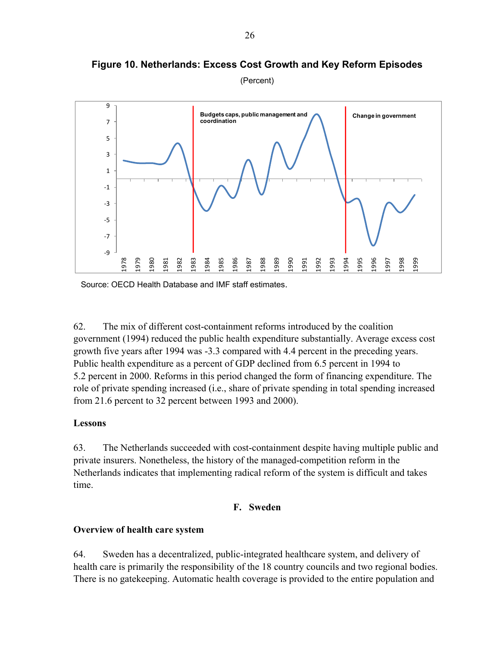

**Figure 10. Netherlands: Excess Cost Growth and Key Reform Episodes** 

(Percent)

Source: OECD Health Database and IMF staff estimates.

62. The mix of different cost-containment reforms introduced by the coalition government (1994) reduced the public health expenditure substantially. Average excess cost growth five years after 1994 was -3.3 compared with 4.4 percent in the preceding years. Public health expenditure as a percent of GDP declined from 6.5 percent in 1994 to 5.2 percent in 2000. Reforms in this period changed the form of financing expenditure. The role of private spending increased (i.e., share of private spending in total spending increased from 21.6 percent to 32 percent between 1993 and 2000).

## **Lessons**

63. The Netherlands succeeded with cost-containment despite having multiple public and private insurers. Nonetheless, the history of the managed-competition reform in the Netherlands indicates that implementing radical reform of the system is difficult and takes time.

### **F. Sweden**

## **Overview of health care system**

64. Sweden has a decentralized, public-integrated healthcare system, and delivery of health care is primarily the responsibility of the 18 country councils and two regional bodies. There is no gatekeeping. Automatic health coverage is provided to the entire population and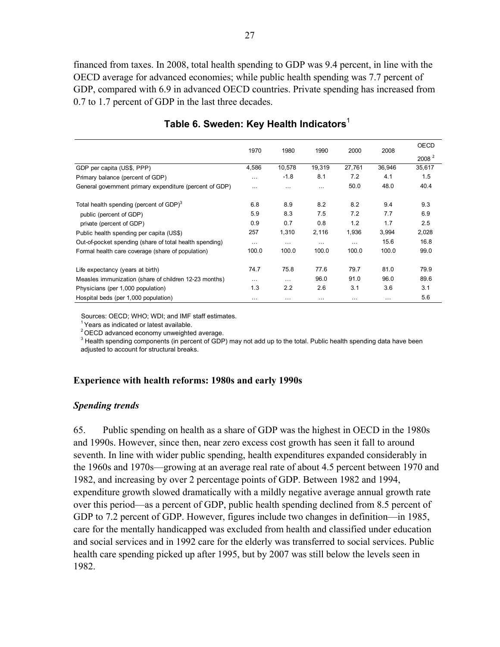financed from taxes. In 2008, total health spending to GDP was 9.4 percent, in line with the OECD average for advanced economies; while public health spending was 7.7 percent of GDP, compared with 6.9 in advanced OECD countries. Private spending has increased from 0.7 to 1.7 percent of GDP in the last three decades.

|                                                         | 1970     | 1980     | 1990     | 2000     | 2008     | <b>OECD</b>       |
|---------------------------------------------------------|----------|----------|----------|----------|----------|-------------------|
|                                                         |          |          |          |          |          | 2008 <sup>2</sup> |
| GDP per capita (US\$, PPP)                              | 4,586    | 10,578   | 19.319   | 27,761   | 36.946   | 35,617            |
| Primary balance (percent of GDP)                        | $\cdots$ | $-1.8$   | 8.1      | 7.2      | 4.1      | 1.5               |
| General government primary expenditure (percent of GDP) | $\cdots$ | $\cdots$ | $\cdots$ | 50.0     | 48.0     | 40.4              |
| Total health spending (percent of GDP) <sup>3</sup>     | 6.8      | 8.9      | 8.2      | 8.2      | 9.4      | 9.3               |
| public (percent of GDP)                                 | 5.9      | 8.3      | 7.5      | 7.2      | 7.7      | 6.9               |
| private (percent of GDP)                                | 0.9      | 0.7      | 0.8      | 1.2      | 1.7      | 2.5               |
| Public health spending per capita (US\$)                | 257      | 1,310    | 2,116    | 1,936    | 3,994    | 2,028             |
| Out-of-pocket spending (share of total health spending) | $\cdots$ | $\cdots$ | $\cdots$ | $\cdots$ | 15.6     | 16.8              |
| Formal health care coverage (share of population)       | 100.0    | 100.0    | 100.0    | 100.0    | 100.0    | 99.0              |
| Life expectancy (years at birth)                        | 74.7     | 75.8     | 77.6     | 79.7     | 81.0     | 79.9              |
| Measles immunization (share of children 12-23 months)   | $\cdots$ | $\cdots$ | 96.0     | 91.0     | 96.0     | 89.6              |
| Physicians (per 1,000 population)                       | 1.3      | 2.2      | 2.6      | 3.1      | 3.6      | 3.1               |
| Hospital beds (per 1,000 population)                    | $\cdots$ | $\cdots$ | .        | $\cdots$ | $\cdots$ | 5.6               |

## **Table 6. Sweden: Key Health Indicators**<sup>1</sup>

Sources: OECD; WHO; WDI; and IMF staff estimates.

 $1$  Years as indicated or latest available.

 $2$  OECD advanced economy unweighted average.

<sup>3</sup> Health spending components (in percent of GDP) may not add up to the total. Public health spending data have been adjusted to account for structural breaks.

## **Experience with health reforms: 1980s and early 1990s**

### *Spending trends*

65. Public spending on health as a share of GDP was the highest in OECD in the 1980s and 1990s. However, since then, near zero excess cost growth has seen it fall to around seventh. In line with wider public spending, health expenditures expanded considerably in the 1960s and 1970s—growing at an average real rate of about 4.5 percent between 1970 and 1982, and increasing by over 2 percentage points of GDP. Between 1982 and 1994, expenditure growth slowed dramatically with a mildly negative average annual growth rate over this period—as a percent of GDP, public health spending declined from 8.5 percent of GDP to 7.2 percent of GDP. However, figures include two changes in definition—in 1985, care for the mentally handicapped was excluded from health and classified under education and social services and in 1992 care for the elderly was transferred to social services. Public health care spending picked up after 1995, but by 2007 was still below the levels seen in 1982.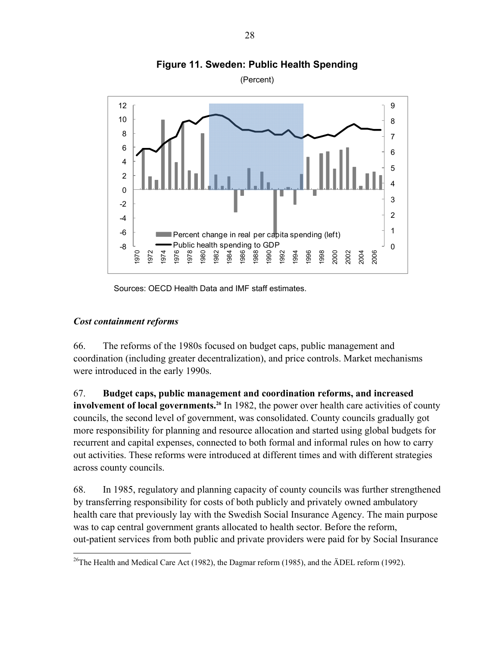

**Figure 11. Sweden: Public Health Spending** 

Sources: OECD Health Data and IMF staff estimates.

## *Cost containment reforms*

66. The reforms of the 1980s focused on budget caps, public management and coordination (including greater decentralization), and price controls. Market mechanisms were introduced in the early 1990s.

67. **Budget caps, public management and coordination reforms, and increased involvement of local governments.**<sup>26</sup> In 1982, the power over health care activities of county councils, the second level of government, was consolidated. County councils gradually got more responsibility for planning and resource allocation and started using global budgets for recurrent and capital expenses, connected to both formal and informal rules on how to carry out activities. These reforms were introduced at different times and with different strategies across county councils.

68. In 1985, regulatory and planning capacity of county councils was further strengthened by transferring responsibility for costs of both publicly and privately owned ambulatory health care that previously lay with the Swedish Social Insurance Agency. The main purpose was to cap central government grants allocated to health sector. Before the reform, out-patient services from both public and private providers were paid for by Social Insurance

 $\overline{a}$ <sup>26</sup>The Health and Medical Care Act (1982), the Dagmar reform (1985), and the  $\text{ADEL}$  reform (1992).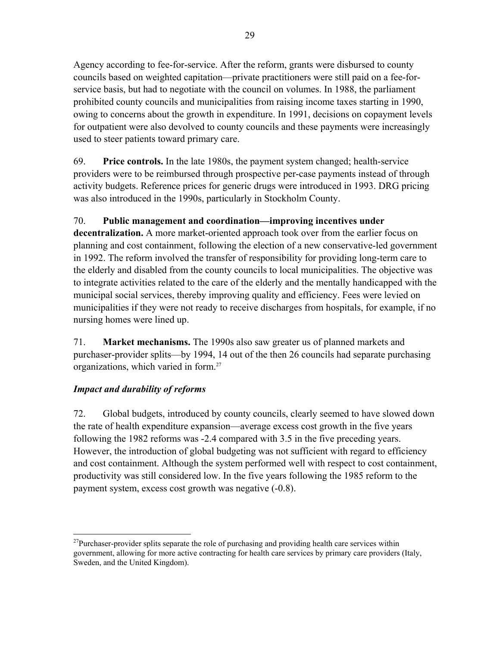Agency according to fee-for-service. After the reform, grants were disbursed to county councils based on weighted capitation—private practitioners were still paid on a fee-forservice basis, but had to negotiate with the council on volumes. In 1988, the parliament prohibited county councils and municipalities from raising income taxes starting in 1990, owing to concerns about the growth in expenditure. In 1991, decisions on copayment levels for outpatient were also devolved to county councils and these payments were increasingly used to steer patients toward primary care.

69. **Price controls.** In the late 1980s, the payment system changed; health-service providers were to be reimbursed through prospective per-case payments instead of through activity budgets. Reference prices for generic drugs were introduced in 1993. DRG pricing was also introduced in the 1990s, particularly in Stockholm County.

## 70. **Public management and coordination—improving incentives under**

**decentralization.** A more market-oriented approach took over from the earlier focus on planning and cost containment, following the election of a new conservative-led government in 1992. The reform involved the transfer of responsibility for providing long-term care to the elderly and disabled from the county councils to local municipalities. The objective was to integrate activities related to the care of the elderly and the mentally handicapped with the municipal social services, thereby improving quality and efficiency. Fees were levied on municipalities if they were not ready to receive discharges from hospitals, for example, if no nursing homes were lined up.

71. **Market mechanisms.** The 1990s also saw greater us of planned markets and purchaser-provider splits—by 1994, 14 out of the then 26 councils had separate purchasing organizations, which varied in form.27

## *Impact and durability of reforms*

72. Global budgets, introduced by county councils, clearly seemed to have slowed down the rate of health expenditure expansion—average excess cost growth in the five years following the 1982 reforms was -2.4 compared with 3.5 in the five preceding years. However, the introduction of global budgeting was not sufficient with regard to efficiency and cost containment. Although the system performed well with respect to cost containment, productivity was still considered low. In the five years following the 1985 reform to the payment system, excess cost growth was negative (-0.8).

 $\overline{a}$ <sup>27</sup>Purchaser-provider splits separate the role of purchasing and providing health care services within government, allowing for more active contracting for health care services by primary care providers (Italy, Sweden, and the United Kingdom).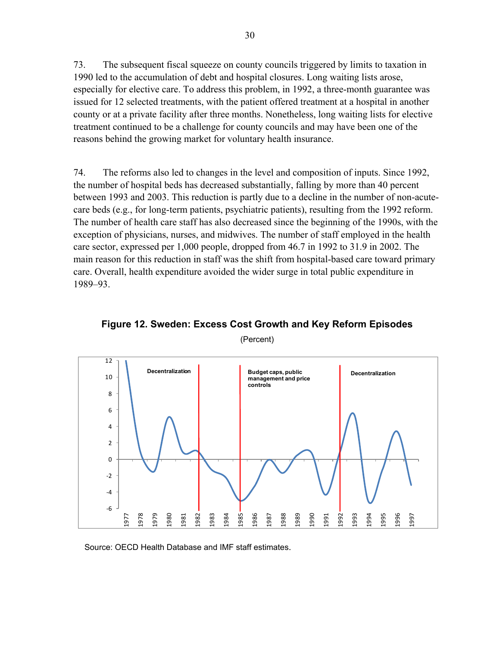73. The subsequent fiscal squeeze on county councils triggered by limits to taxation in 1990 led to the accumulation of debt and hospital closures. Long waiting lists arose, especially for elective care. To address this problem, in 1992, a three-month guarantee was issued for 12 selected treatments, with the patient offered treatment at a hospital in another county or at a private facility after three months. Nonetheless, long waiting lists for elective treatment continued to be a challenge for county councils and may have been one of the reasons behind the growing market for voluntary health insurance.

74. The reforms also led to changes in the level and composition of inputs. Since 1992, the number of hospital beds has decreased substantially, falling by more than 40 percent between 1993 and 2003. This reduction is partly due to a decline in the number of non-acutecare beds (e.g., for long-term patients, psychiatric patients), resulting from the 1992 reform. The number of health care staff has also decreased since the beginning of the 1990s, with the exception of physicians, nurses, and midwives. The number of staff employed in the health care sector, expressed per 1,000 people, dropped from 46.7 in 1992 to 31.9 in 2002. The main reason for this reduction in staff was the shift from hospital-based care toward primary care. Overall, health expenditure avoided the wider surge in total public expenditure in 1989–93.



**Figure 12. Sweden: Excess Cost Growth and Key Reform Episodes** 

(Percent)

Source: OECD Health Database and IMF staff estimates.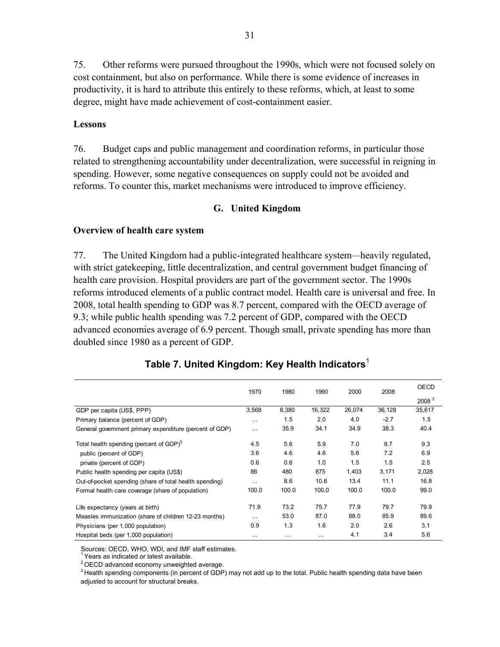75. Other reforms were pursued throughout the 1990s, which were not focused solely on cost containment, but also on performance. While there is some evidence of increases in productivity, it is hard to attribute this entirely to these reforms, which, at least to some degree, might have made achievement of cost-containment easier.

#### **Lessons**

76. Budget caps and public management and coordination reforms, in particular those related to strengthening accountability under decentralization, were successful in reigning in spending. However, some negative consequences on supply could not be avoided and reforms. To counter this, market mechanisms were introduced to improve efficiency.

#### **G. United Kingdom**

#### **Overview of health care system**

77. The United Kingdom had a public-integrated healthcare system*—*heavily regulated, with strict gatekeeping, little decentralization, and central government budget financing of health care provision. Hospital providers are part of the government sector. The 1990s reforms introduced elements of a public contract model. Health care is universal and free. In 2008, total health spending to GDP was 8.7 percent, compared with the OECD average of 9.3; while public health spending was 7.2 percent of GDP, compared with the OECD advanced economies average of 6.9 percent. Though small, private spending has more than doubled since 1980 as a percent of GDP.

|                                                         | 1970     | 1980  | 1990   | 2000   | 2008   | <b>OECD</b>       |  |
|---------------------------------------------------------|----------|-------|--------|--------|--------|-------------------|--|
|                                                         |          |       |        |        |        | 2008 <sup>2</sup> |  |
| GDP per capita (US\$, PPP)                              | 3,568    | 8,380 | 16,322 | 26,074 | 36,128 | 35,617            |  |
| Primary balance (percent of GDP)                        | $\cdots$ | 1.5   | 2.0    | 4.0    | $-2.7$ | 1.5               |  |
| General government primary expenditure (percent of GDP) | $\cdots$ | 35.9  | 34.1   | 34.9   | 38.3   | 40.4              |  |
| Total health spending (percent of GDP) <sup>3</sup>     | 4.5      | 5.6   | 5.9    | 7.0    | 8.7    | 9.3               |  |
| public (percent of GDP)                                 | 3.6      | 4.6   | 4.6    | 5.6    | 7.2    | 6.9               |  |
| private (percent of GDP)                                | 0.6      | 0.6   | 1.0    | 1.5    | 1.5    | 2.5               |  |
| Public health spending per capita (US\$)                | 86       | 480   | 875    | 1.403  | 3,171  | 2,028             |  |
| Out-of-pocket spending (share of total health spending) | $\cdots$ | 8.6   | 10.6   | 13.4   | 11.1   | 16.8              |  |
| Formal health care coverage (share of population)       | 100.0    | 100.0 | 100.0  | 100.0  | 100.0  | 99.0              |  |
| Life expectancy (years at birth)                        | 71.9     | 73.2  | 75.7   | 77.9   | 79.7   | 79.9              |  |
| Measles immunization (share of children 12-23 months)   | $\cdots$ | 53.0  | 87.0   | 88.0   | 85.9   | 89.6              |  |
| Physicians (per 1,000 population)                       | 0.9      | 1.3   | 1.6    | 2.0    | 2.6    | 3.1               |  |
| Hospital beds (per 1,000 population)                    | $\cdots$ | .     | .      | 4.1    | 3.4    | 5.6               |  |

### **Table 7. United Kingdom: Key Health Indicators**<sup>1</sup>

Sources: OECD, WHO, WDI, and IMF staff estimates.

<sup>1</sup> Years as indicated or latest available.

 $2$  OECD advanced economy unweighted average.

 $3$  Health spending components (in percent of GDP) may not add up to the total. Public health spending data have been adjusted to account for structural breaks.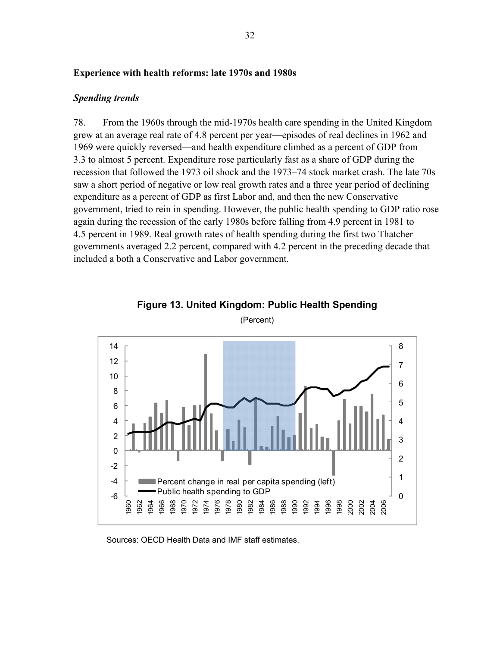#### **Experience with health reforms: late 1970s and 1980s**

#### *Spending trends*

78. From the 1960s through the mid-1970s health care spending in the United Kingdom grew at an average real rate of 4.8 percent per year—episodes of real declines in 1962 and 1969 were quickly reversed—and health expenditure climbed as a percent of GDP from 3.3 to almost 5 percent. Expenditure rose particularly fast as a share of GDP during the recession that followed the 1973 oil shock and the 1973–74 stock market crash. The late 70s saw a short period of negative or low real growth rates and a three year period of declining expenditure as a percent of GDP as first Labor and, and then the new Conservative government, tried to rein in spending. However, the public health spending to GDP ratio rose again during the recession of the early 1980s before falling from 4.9 percent in 1981 to 4.5 percent in 1989. Real growth rates of health spending during the first two Thatcher governments averaged 2.2 percent, compared with 4.2 percent in the preceding decade that included a both a Conservative and Labor government.



**Figure 13. United Kingdom: Public Health Spending** 

(Percent)

Sources: OECD Health Data and IMF staff estimates.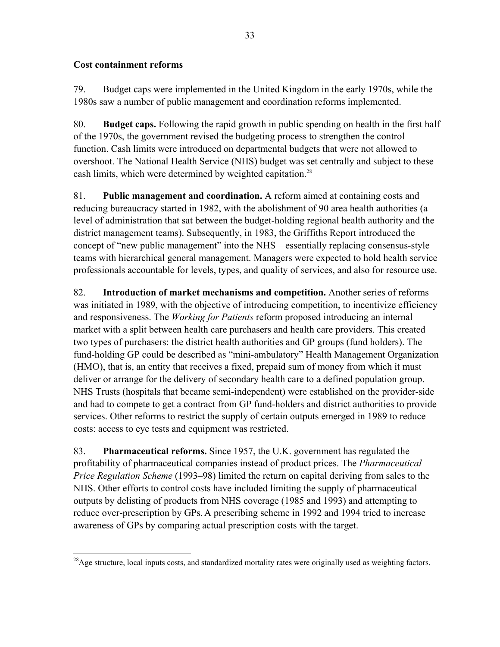## **Cost containment reforms**

79. Budget caps were implemented in the United Kingdom in the early 1970s, while the 1980s saw a number of public management and coordination reforms implemented.

80. **Budget caps.** Following the rapid growth in public spending on health in the first half of the 1970s, the government revised the budgeting process to strengthen the control function. Cash limits were introduced on departmental budgets that were not allowed to overshoot. The National Health Service (NHS) budget was set centrally and subject to these cash limits, which were determined by weighted capitation.<sup>28</sup>

81. **Public management and coordination.** A reform aimed at containing costs and reducing bureaucracy started in 1982, with the abolishment of 90 area health authorities (a level of administration that sat between the budget-holding regional health authority and the district management teams). Subsequently, in 1983, the Griffiths Report introduced the concept of "new public management" into the NHS—essentially replacing consensus-style teams with hierarchical general management. Managers were expected to hold health service professionals accountable for levels, types, and quality of services, and also for resource use.

82. **Introduction of market mechanisms and competition.** Another series of reforms was initiated in 1989, with the objective of introducing competition, to incentivize efficiency and responsiveness. The *Working for Patients* reform proposed introducing an internal market with a split between health care purchasers and health care providers. This created two types of purchasers: the district health authorities and GP groups (fund holders). The fund-holding GP could be described as "mini-ambulatory" Health Management Organization (HMO), that is, an entity that receives a fixed, prepaid sum of money from which it must deliver or arrange for the delivery of secondary health care to a defined population group. NHS Trusts (hospitals that became semi-independent) were established on the provider-side and had to compete to get a contract from GP fund-holders and district authorities to provide services. Other reforms to restrict the supply of certain outputs emerged in 1989 to reduce costs: access to eye tests and equipment was restricted.

83. **Pharmaceutical reforms.** Since 1957, the U.K. government has regulated the profitability of pharmaceutical companies instead of product prices. The *Pharmaceutical Price Regulation Scheme* (1993–98) limited the return on capital deriving from sales to the NHS. Other efforts to control costs have included limiting the supply of pharmaceutical outputs by delisting of products from NHS coverage (1985 and 1993) and attempting to reduce over-prescription by GPs.A prescribing scheme in 1992 and 1994 tried to increase awareness of GPs by comparing actual prescription costs with the target.

 $\overline{a}$  $^{28}$ Age structure, local inputs costs, and standardized mortality rates were originally used as weighting factors.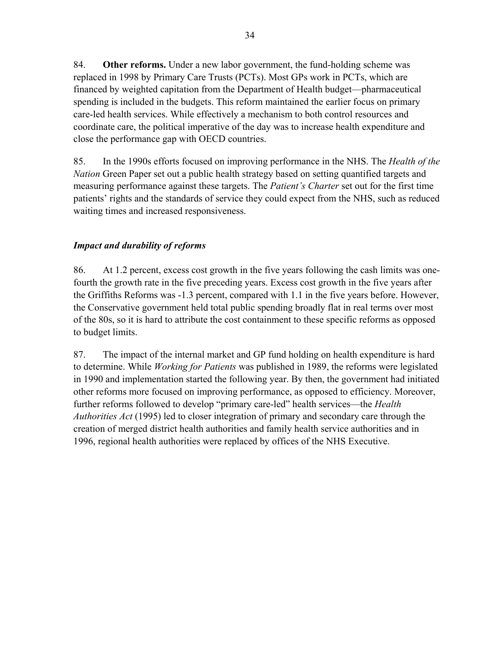84. **Other reforms.** Under a new labor government, the fund-holding scheme was replaced in 1998 by Primary Care Trusts (PCTs). Most GPs work in PCTs, which are financed by weighted capitation from the Department of Health budget—pharmaceutical spending is included in the budgets. This reform maintained the earlier focus on primary care-led health services. While effectively a mechanism to both control resources and coordinate care, the political imperative of the day was to increase health expenditure and close the performance gap with OECD countries.

85. In the 1990s efforts focused on improving performance in the NHS. The *Health of the Nation* Green Paper set out a public health strategy based on setting quantified targets and measuring performance against these targets. The *Patient's Charter* set out for the first time patients' rights and the standards of service they could expect from the NHS, such as reduced waiting times and increased responsiveness.

## *Impact and durability of reforms*

86. At 1.2 percent, excess cost growth in the five years following the cash limits was onefourth the growth rate in the five preceding years. Excess cost growth in the five years after the Griffiths Reforms was -1.3 percent, compared with 1.1 in the five years before. However, the Conservative government held total public spending broadly flat in real terms over most of the 80s, so it is hard to attribute the cost containment to these specific reforms as opposed to budget limits.

87. The impact of the internal market and GP fund holding on health expenditure is hard to determine. While *Working for Patients* was published in 1989, the reforms were legislated in 1990 and implementation started the following year. By then, the government had initiated other reforms more focused on improving performance, as opposed to efficiency. Moreover, further reforms followed to develop "primary care-led" health services—the *Health Authorities Act* (1995) led to closer integration of primary and secondary care through the creation of merged district health authorities and family health service authorities and in 1996, regional health authorities were replaced by offices of the NHS Executive.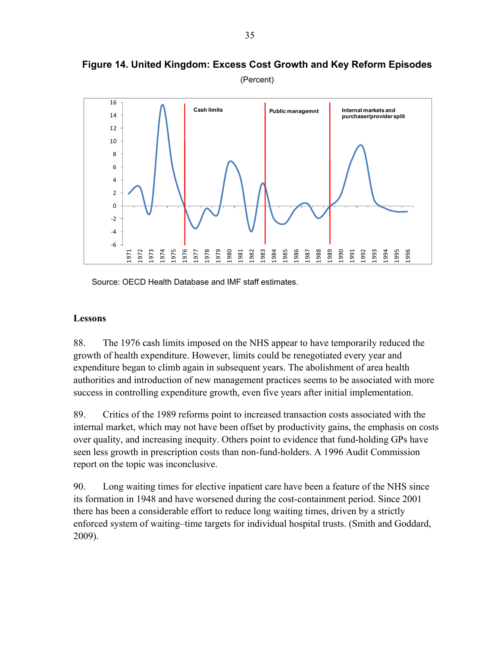

**Figure 14. United Kingdom: Excess Cost Growth and Key Reform Episodes** 

Source: OECD Health Database and IMF staff estimates.

#### **Lessons**

88. The 1976 cash limits imposed on the NHS appear to have temporarily reduced the growth of health expenditure. However, limits could be renegotiated every year and expenditure began to climb again in subsequent years. The abolishment of area health authorities and introduction of new management practices seems to be associated with more success in controlling expenditure growth, even five years after initial implementation.

89. Critics of the 1989 reforms point to increased transaction costs associated with the internal market, which may not have been offset by productivity gains, the emphasis on costs over quality, and increasing inequity. Others point to evidence that fund-holding GPs have seen less growth in prescription costs than non-fund-holders. A 1996 Audit Commission report on the topic was inconclusive.

90. Long waiting times for elective inpatient care have been a feature of the NHS since its formation in 1948 and have worsened during the cost-containment period. Since 2001 there has been a considerable effort to reduce long waiting times, driven by a strictly enforced system of waiting–time targets for individual hospital trusts. (Smith and Goddard, 2009).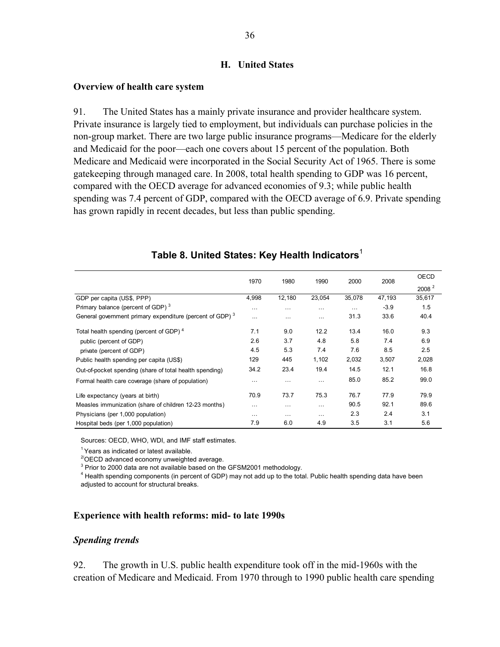#### **H. United States**

#### **Overview of health care system**

91. The United States has a mainly private insurance and provider healthcare system. Private insurance is largely tied to employment, but individuals can purchase policies in the non-group market. There are two large public insurance programs—Medicare for the elderly and Medicaid for the poor—each one covers about 15 percent of the population. Both Medicare and Medicaid were incorporated in the Social Security Act of 1965. There is some gatekeeping through managed care. In 2008, total health spending to GDP was 16 percent, compared with the OECD average for advanced economies of 9.3; while public health spending was 7.4 percent of GDP, compared with the OECD average of 6.9. Private spending has grown rapidly in recent decades, but less than public spending.

|                                                                      | 1970     | 1980     | 1990     | 2000     | 2008   | <b>OECD</b>       |
|----------------------------------------------------------------------|----------|----------|----------|----------|--------|-------------------|
|                                                                      |          |          |          |          |        | 2008 <sup>2</sup> |
| GDP per capita (US\$, PPP)                                           | 4,998    | 12,180   | 23,054   | 35,078   | 47,193 | 35,617            |
| Primary balance (percent of GDP) <sup>3</sup>                        | $\cdots$ | .        | $\cdots$ | $\cdots$ | $-3.9$ | 1.5               |
| General government primary expenditure (percent of GDP) <sup>3</sup> | $\cdots$ | $\cdots$ | $\cdots$ | 31.3     | 33.6   | 40.4              |
| Total health spending (percent of GDP) <sup>4</sup>                  | 7.1      | 9.0      | 12.2     | 13.4     | 16.0   | 9.3               |
| public (percent of GDP)                                              | 2.6      | 3.7      | 4.8      | 5.8      | 7.4    | 6.9               |
| private (percent of GDP)                                             | 4.5      | 5.3      | 7.4      | 7.6      | 8.5    | 2.5               |
| Public health spending per capita (US\$)                             | 129      | 445      | 1,102    | 2,032    | 3,507  | 2,028             |
| Out-of-pocket spending (share of total health spending)              | 34.2     | 23.4     | 19.4     | 14.5     | 12.1   | 16.8              |
| Formal health care coverage (share of population)                    | $\cdots$ | .        | $\cdots$ | 85.0     | 85.2   | 99.0              |
| Life expectancy (years at birth)                                     | 70.9     | 73.7     | 75.3     | 76.7     | 77.9   | 79.9              |
| Measles immunization (share of children 12-23 months)                | $\cdots$ | .        | $\cdots$ | 90.5     | 92.1   | 89.6              |
| Physicians (per 1,000 population)                                    | $\cdots$ | $\cdots$ | $\cdots$ | 2.3      | 2.4    | 3.1               |
| Hospital beds (per 1,000 population)                                 | 7.9      | 6.0      | 4.9      | 3.5      | 3.1    | 5.6               |

## **Table 8. United States: Key Health Indicators**<sup>1</sup>

Sources: OECD, WHO, WDI, and IMF staff estimates.

 $<sup>1</sup>$  Years as indicated or latest available.</sup>

 $2^{2}$ OECD advanced economy unweighted average.

 $3$  Prior to 2000 data are not available based on the GFSM2001 methodology.

<sup>4</sup> Health spending components (in percent of GDP) may not add up to the total. Public health spending data have been adjusted to account for structural breaks.

### **Experience with health reforms: mid- to late 1990s**

#### *Spending trends*

92. The growth in U.S. public health expenditure took off in the mid-1960s with the creation of Medicare and Medicaid. From 1970 through to 1990 public health care spending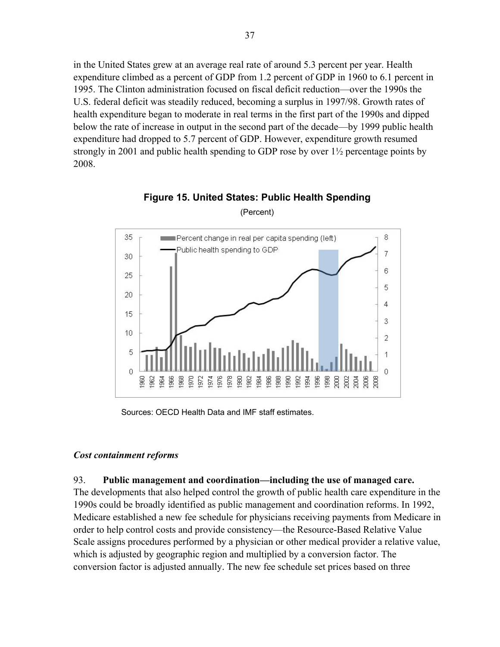in the United States grew at an average real rate of around 5.3 percent per year. Health expenditure climbed as a percent of GDP from 1.2 percent of GDP in 1960 to 6.1 percent in 1995. The Clinton administration focused on fiscal deficit reduction—over the 1990s the U.S. federal deficit was steadily reduced, becoming a surplus in 1997/98. Growth rates of health expenditure began to moderate in real terms in the first part of the 1990s and dipped below the rate of increase in output in the second part of the decade—by 1999 public health expenditure had dropped to 5.7 percent of GDP. However, expenditure growth resumed strongly in 2001 and public health spending to GDP rose by over 1½ percentage points by 2008.



**Figure 15. United States: Public Health Spending** 

(Percent)

Sources: OECD Health Data and IMF staff estimates.

## *Cost containment reforms*

## 93. **Public management and coordination—including the use of managed care.**

The developments that also helped control the growth of public health care expenditure in the 1990s could be broadly identified as public management and coordination reforms. In 1992, Medicare established a new fee schedule for physicians receiving payments from Medicare in order to help control costs and provide consistency—the Resource-Based Relative Value Scale assigns procedures performed by a physician or other medical provider a relative value, which is adjusted by geographic region and multiplied by a conversion factor. The conversion factor is adjusted annually. The new fee schedule set prices based on three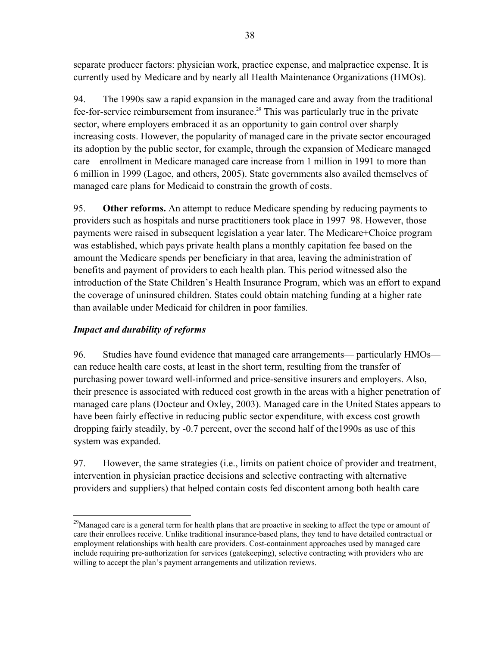separate producer factors: physician work, practice expense, and malpractice expense. It is currently used by Medicare and by nearly all Health Maintenance Organizations (HMOs).

94. The 1990s saw a rapid expansion in the managed care and away from the traditional fee-for-service reimbursement from insurance.<sup>29</sup> This was particularly true in the private sector, where employers embraced it as an opportunity to gain control over sharply increasing costs. However, the popularity of managed care in the private sector encouraged its adoption by the public sector, for example, through the expansion of Medicare managed care—enrollment in Medicare managed care increase from 1 million in 1991 to more than 6 million in 1999 (Lagoe, and others, 2005). State governments also availed themselves of managed care plans for Medicaid to constrain the growth of costs.

95. **Other reforms.** An attempt to reduce Medicare spending by reducing payments to providers such as hospitals and nurse practitioners took place in 1997–98. However, those payments were raised in subsequent legislation a year later. The Medicare+Choice program was established, which pays private health plans a monthly capitation fee based on the amount the Medicare spends per beneficiary in that area, leaving the administration of benefits and payment of providers to each health plan. This period witnessed also the introduction of the State Children's Health Insurance Program, which was an effort to expand the coverage of uninsured children. States could obtain matching funding at a higher rate than available under Medicaid for children in poor families.

## *Impact and durability of reforms*

96. Studies have found evidence that managed care arrangements— particularly HMOs can reduce health care costs, at least in the short term, resulting from the transfer of purchasing power toward well-informed and price-sensitive insurers and employers. Also, their presence is associated with reduced cost growth in the areas with a higher penetration of managed care plans (Docteur and Oxley, 2003). Managed care in the United States appears to have been fairly effective in reducing public sector expenditure, with excess cost growth dropping fairly steadily, by -0.7 percent, over the second half of the1990s as use of this system was expanded.

97. However, the same strategies (i.e., limits on patient choice of provider and treatment, intervention in physician practice decisions and selective contracting with alternative providers and suppliers) that helped contain costs fed discontent among both health care

 $\overline{a}$ <sup>29</sup>Managed care is a general term for health plans that are proactive in seeking to affect the type or amount of care their enrollees receive. Unlike traditional insurance-based plans, they tend to have detailed contractual or employment relationships with health care providers. Cost-containment approaches used by managed care include requiring pre-authorization for services (gatekeeping), selective contracting with providers who are willing to accept the plan's payment arrangements and utilization reviews.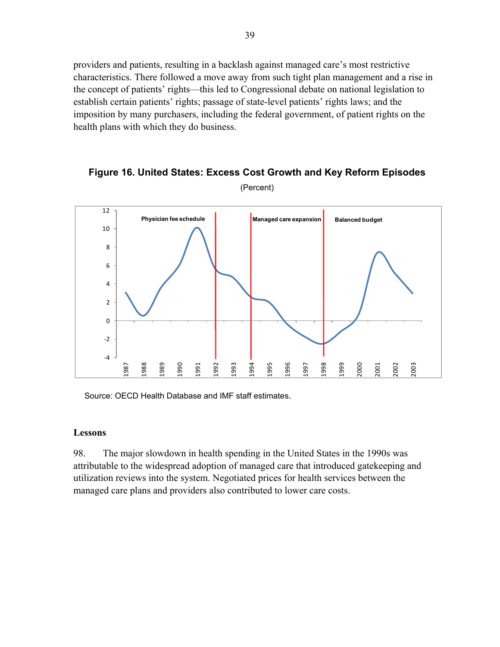providers and patients, resulting in a backlash against managed care's most restrictive characteristics. There followed a move away from such tight plan management and a rise in the concept of patients' rights—this led to Congressional debate on national legislation to establish certain patients' rights; passage of state-level patients' rights laws; and the imposition by many purchasers, including the federal government, of patient rights on the health plans with which they do business.



**Figure 16. United States: Excess Cost Growth and Key Reform Episodes**  (Percent)

Source: OECD Health Database and IMF staff estimates.

### **Lessons**

98. The major slowdown in health spending in the United States in the 1990s was attributable to the widespread adoption of managed care that introduced gatekeeping and utilization reviews into the system. Negotiated prices for health services between the managed care plans and providers also contributed to lower care costs.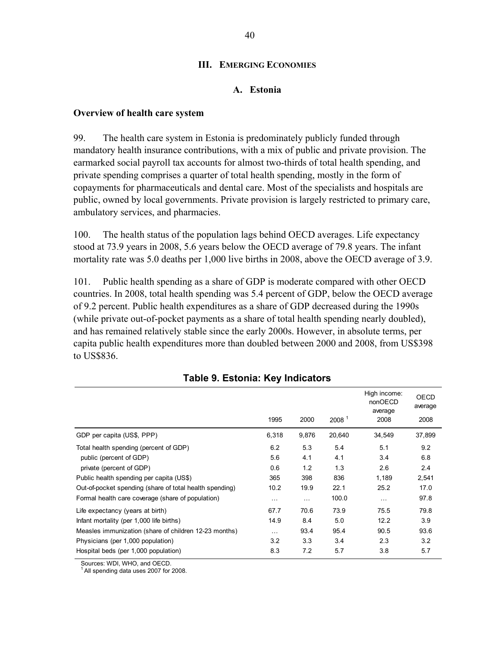### **III. EMERGING ECONOMIES**

### **A. Estonia**

### **Overview of health care system**

99. The health care system in Estonia is predominately publicly funded through mandatory health insurance contributions, with a mix of public and private provision. The earmarked social payroll tax accounts for almost two-thirds of total health spending, and private spending comprises a quarter of total health spending, mostly in the form of copayments for pharmaceuticals and dental care. Most of the specialists and hospitals are public, owned by local governments. Private provision is largely restricted to primary care, ambulatory services, and pharmacies.

100. The health status of the population lags behind OECD averages. Life expectancy stood at 73.9 years in 2008, 5.6 years below the OECD average of 79.8 years. The infant mortality rate was 5.0 deaths per 1,000 live births in 2008, above the OECD average of 3.9.

101. Public health spending as a share of GDP is moderate compared with other OECD countries. In 2008, total health spending was 5.4 percent of GDP, below the OECD average of 9.2 percent. Public health expenditures as a share of GDP decreased during the 1990s (while private out-of-pocket payments as a share of total health spending nearly doubled), and has remained relatively stable since the early 2000s. However, in absolute terms, per capita public health expenditures more than doubled between 2000 and 2008, from US\$398 to US\$836.

|                                                         | 1995     | 2000     | 2008 <sup>1</sup> | High income:<br>nonOECD<br>average<br>2008 | <b>OECD</b><br>average |
|---------------------------------------------------------|----------|----------|-------------------|--------------------------------------------|------------------------|
|                                                         |          |          |                   |                                            | 2008                   |
| GDP per capita (US\$, PPP)                              | 6,318    | 9,876    | 20,640            | 34,549                                     | 37,899                 |
| Total health spending (percent of GDP)                  | 6.2      | 5.3      | 5.4               | 5.1                                        | 9.2                    |
| public (percent of GDP)                                 | 5.6      | 4.1      | 4.1               | 3.4                                        | 6.8                    |
| private (percent of GDP)                                | 0.6      | 1.2      | 1.3               | 2.6                                        | 2.4                    |
| Public health spending per capita (US\$)                | 365      | 398      | 836               | 1,189                                      | 2,541                  |
| Out-of-pocket spending (share of total health spending) | 10.2     | 19.9     | 22.1              | 25.2                                       | 17.0                   |
| Formal health care coverage (share of population)       | $\cdots$ | $\cdots$ | 100.0             | $\cdots$                                   | 97.8                   |
| Life expectancy (years at birth)                        | 67.7     | 70.6     | 73.9              | 75.5                                       | 79.8                   |
| Infant mortality (per 1,000 life births)                | 14.9     | 8.4      | 5.0               | 12.2                                       | 3.9                    |
| Measles immunization (share of children 12-23 months)   | $\cdots$ | 93.4     | 95.4              | 90.5                                       | 93.6                   |
| Physicians (per 1,000 population)                       | 3.2      | 3.3      | 3.4               | 2.3                                        | 3.2                    |
| Hospital beds (per 1,000 population)                    | 8.3      | 7.2      | 5.7               | 3.8                                        | 5.7                    |

## **Table 9. Estonia: Key Indicators**

Sources: WDI, WHO, and OECD.

All spending data uses 2007 for 2008.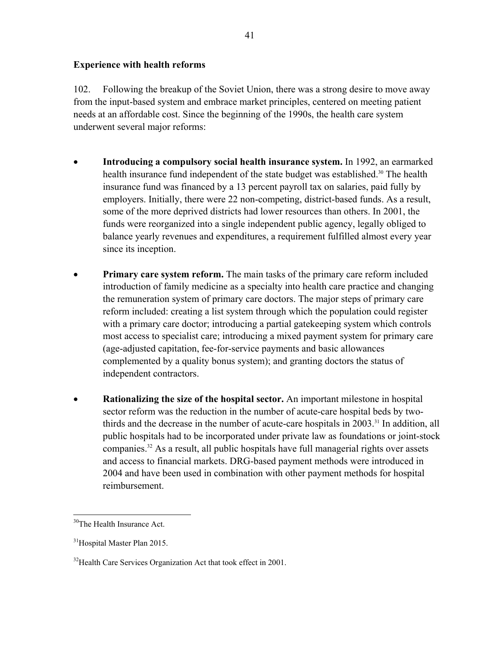### **Experience with health reforms**

102. Following the breakup of the Soviet Union, there was a strong desire to move away from the input-based system and embrace market principles, centered on meeting patient needs at an affordable cost. Since the beginning of the 1990s, the health care system underwent several major reforms:

- **Introducing a compulsory social health insurance system.** In 1992, an earmarked health insurance fund independent of the state budget was established.<sup>30</sup> The health insurance fund was financed by a 13 percent payroll tax on salaries, paid fully by employers. Initially, there were 22 non-competing, district-based funds. As a result, some of the more deprived districts had lower resources than others. In 2001, the funds were reorganized into a single independent public agency, legally obliged to balance yearly revenues and expenditures, a requirement fulfilled almost every year since its inception.
- **Primary care system reform.** The main tasks of the primary care reform included introduction of family medicine as a specialty into health care practice and changing the remuneration system of primary care doctors. The major steps of primary care reform included: creating a list system through which the population could register with a primary care doctor; introducing a partial gatekeeping system which controls most access to specialist care; introducing a mixed payment system for primary care (age-adjusted capitation, fee-for-service payments and basic allowances complemented by a quality bonus system); and granting doctors the status of independent contractors.
- **Rationalizing the size of the hospital sector.** An important milestone in hospital sector reform was the reduction in the number of acute-care hospital beds by twothirds and the decrease in the number of acute-care hospitals in 2003.<sup>31</sup> In addition, all public hospitals had to be incorporated under private law as foundations or joint-stock companies.32 As a result, all public hospitals have full managerial rights over assets and access to financial markets. DRG-based payment methods were introduced in 2004 and have been used in combination with other payment methods for hospital reimbursement.

<u>.</u>

<sup>&</sup>lt;sup>30</sup>The Health Insurance Act.

<sup>&</sup>lt;sup>31</sup>Hospital Master Plan 2015.

<sup>&</sup>lt;sup>32</sup> Health Care Services Organization Act that took effect in 2001.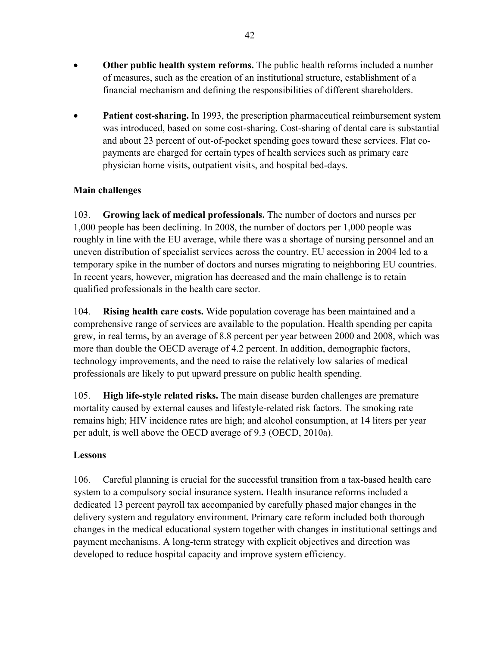- **Other public health system reforms.** The public health reforms included a number of measures, such as the creation of an institutional structure, establishment of a financial mechanism and defining the responsibilities of different shareholders.
- **Patient cost-sharing.** In 1993, the prescription pharmaceutical reimbursement system was introduced, based on some cost-sharing. Cost-sharing of dental care is substantial and about 23 percent of out-of-pocket spending goes toward these services. Flat copayments are charged for certain types of health services such as primary care physician home visits, outpatient visits, and hospital bed-days.

## **Main challenges**

103. **Growing lack of medical professionals.** The number of doctors and nurses per 1,000 people has been declining. In 2008, the number of doctors per 1,000 people was roughly in line with the EU average, while there was a shortage of nursing personnel and an uneven distribution of specialist services across the country. EU accession in 2004 led to a temporary spike in the number of doctors and nurses migrating to neighboring EU countries. In recent years, however, migration has decreased and the main challenge is to retain qualified professionals in the health care sector.

104. **Rising health care costs.** Wide population coverage has been maintained and a comprehensive range of services are available to the population. Health spending per capita grew, in real terms, by an average of 8.8 percent per year between 2000 and 2008, which was more than double the OECD average of 4.2 percent. In addition, demographic factors, technology improvements, and the need to raise the relatively low salaries of medical professionals are likely to put upward pressure on public health spending.

105. **High life-style related risks.** The main disease burden challenges are premature mortality caused by external causes and lifestyle-related risk factors. The smoking rate remains high; HIV incidence rates are high; and alcohol consumption, at 14 liters per year per adult, is well above the OECD average of 9.3 (OECD, 2010a).

## **Lessons**

106. Careful planning is crucial for the successful transition from a tax-based health care system to a compulsory social insurance system**.** Health insurance reforms included a dedicated 13 percent payroll tax accompanied by carefully phased major changes in the delivery system and regulatory environment. Primary care reform included both thorough changes in the medical educational system together with changes in institutional settings and payment mechanisms. A long-term strategy with explicit objectives and direction was developed to reduce hospital capacity and improve system efficiency.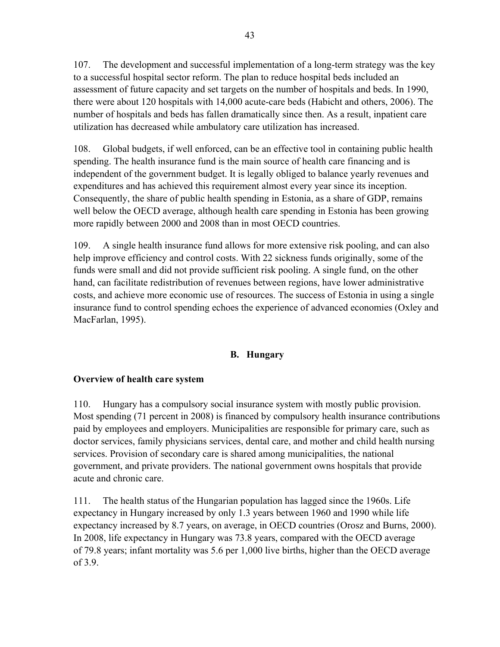107. The development and successful implementation of a long-term strategy was the key to a successful hospital sector reform. The plan to reduce hospital beds included an assessment of future capacity and set targets on the number of hospitals and beds. In 1990, there were about 120 hospitals with 14,000 acute-care beds (Habicht and others, 2006). The number of hospitals and beds has fallen dramatically since then. As a result, inpatient care utilization has decreased while ambulatory care utilization has increased.

108. Global budgets, if well enforced, can be an effective tool in containing public health spending. The health insurance fund is the main source of health care financing and is independent of the government budget. It is legally obliged to balance yearly revenues and expenditures and has achieved this requirement almost every year since its inception. Consequently, the share of public health spending in Estonia, as a share of GDP, remains well below the OECD average, although health care spending in Estonia has been growing more rapidly between 2000 and 2008 than in most OECD countries.

109. A single health insurance fund allows for more extensive risk pooling, and can also help improve efficiency and control costs. With 22 sickness funds originally, some of the funds were small and did not provide sufficient risk pooling. A single fund, on the other hand, can facilitate redistribution of revenues between regions, have lower administrative costs, and achieve more economic use of resources. The success of Estonia in using a single insurance fund to control spending echoes the experience of advanced economies (Oxley and MacFarlan, 1995).

## **B. Hungary**

## **Overview of health care system**

110. Hungary has a compulsory social insurance system with mostly public provision. Most spending (71 percent in 2008) is financed by compulsory health insurance contributions paid by employees and employers. Municipalities are responsible for primary care, such as doctor services, family physicians services, dental care, and mother and child health nursing services. Provision of secondary care is shared among municipalities, the national government, and private providers. The national government owns hospitals that provide acute and chronic care.

111. The health status of the Hungarian population has lagged since the 1960s. Life expectancy in Hungary increased by only 1.3 years between 1960 and 1990 while life expectancy increased by 8.7 years, on average, in OECD countries (Orosz and Burns, 2000). In 2008, life expectancy in Hungary was 73.8 years, compared with the OECD average of 79.8 years; infant mortality was 5.6 per 1,000 live births, higher than the OECD average of 3.9.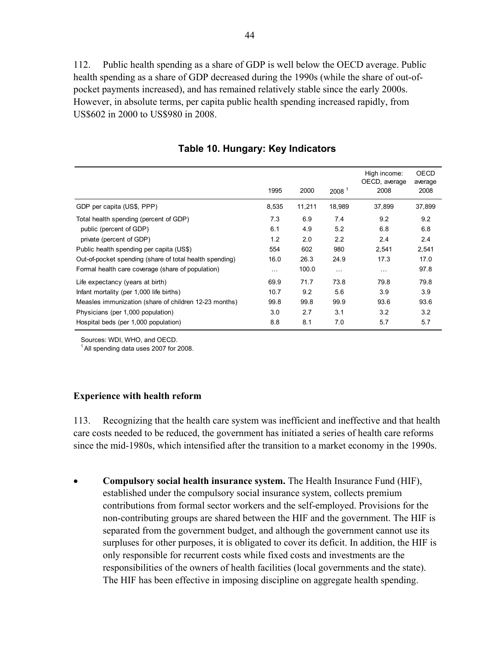112. Public health spending as a share of GDP is well below the OECD average. Public health spending as a share of GDP decreased during the 1990s (while the share of out-ofpocket payments increased), and has remained relatively stable since the early 2000s. However, in absolute terms, per capita public health spending increased rapidly, from US\$602 in 2000 to US\$980 in 2008.

|                                                         |          |        |                      | High income:          | OECD            |
|---------------------------------------------------------|----------|--------|----------------------|-----------------------|-----------------|
|                                                         | 1995     | 2000   | 2008 <sup>1</sup>    | OECD, average<br>2008 | average<br>2008 |
| GDP per capita (US\$, PPP)                              | 8,535    | 11,211 | 18,989               | 37,899                | 37,899          |
| Total health spending (percent of GDP)                  | 7.3      | 6.9    | 7.4                  | 9.2                   | 9.2             |
| public (percent of GDP)                                 | 6.1      | 4.9    | 5.2                  | 6.8                   | 6.8             |
| private (percent of GDP)                                | 1.2      | 2.0    | 2.2                  | 2.4                   | 2.4             |
| Public health spending per capita (US\$)                | 554      | 602    | 980                  | 2,541                 | 2,541           |
| Out-of-pocket spending (share of total health spending) | 16.0     | 26.3   | 24.9                 | 17.3                  | 17.0            |
| Formal health care coverage (share of population)       | $\cdots$ | 100.0  | $\sim$ $\sim$ $\sim$ | $\cdots$              | 97.8            |
| Life expectancy (years at birth)                        | 69.9     | 71.7   | 73.8                 | 79.8                  | 79.8            |
| Infant mortality (per 1,000 life births)                | 10.7     | 9.2    | 5.6                  | 3.9                   | 3.9             |
| Measles immunization (share of children 12-23 months)   | 99.8     | 99.8   | 99.9                 | 93.6                  | 93.6            |
| Physicians (per 1,000 population)                       | 3.0      | 2.7    | 3.1                  | 3.2                   | 3.2             |
| Hospital beds (per 1,000 population)                    | 8.8      | 8.1    | 7.0                  | 5.7                   | 5.7             |

**Table 10. Hungary: Key Indicators** 

Sources: WDI, WHO, and OECD.

 $<sup>1</sup>$  All spending data uses 2007 for 2008.</sup>

## **Experience with health reform**

113. Recognizing that the health care system was inefficient and ineffective and that health care costs needed to be reduced, the government has initiated a series of health care reforms since the mid-1980s, which intensified after the transition to a market economy in the 1990s.

 **Compulsory social health insurance system.** The Health Insurance Fund (HIF), established under the compulsory social insurance system, collects premium contributions from formal sector workers and the self-employed. Provisions for the non-contributing groups are shared between the HIF and the government. The HIF is separated from the government budget, and although the government cannot use its surpluses for other purposes, it is obligated to cover its deficit. In addition, the HIF is only responsible for recurrent costs while fixed costs and investments are the responsibilities of the owners of health facilities (local governments and the state). The HIF has been effective in imposing discipline on aggregate health spending.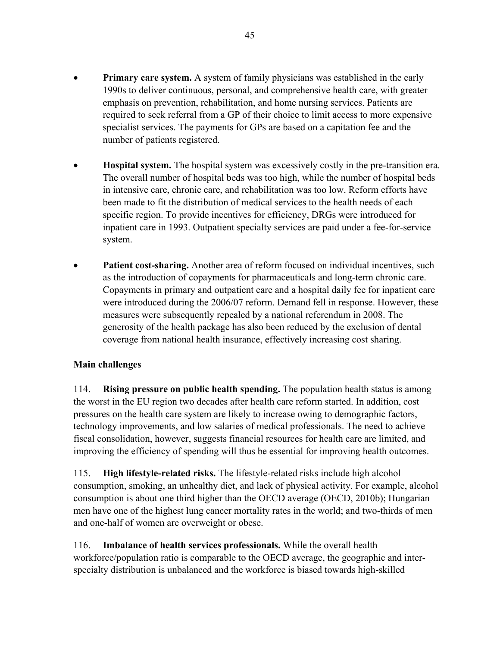- **Primary care system.** A system of family physicians was established in the early 1990s to deliver continuous, personal, and comprehensive health care, with greater emphasis on prevention, rehabilitation, and home nursing services. Patients are required to seek referral from a GP of their choice to limit access to more expensive specialist services. The payments for GPs are based on a capitation fee and the number of patients registered.
- **Hospital system.** The hospital system was excessively costly in the pre-transition era. The overall number of hospital beds was too high, while the number of hospital beds in intensive care, chronic care, and rehabilitation was too low. Reform efforts have been made to fit the distribution of medical services to the health needs of each specific region. To provide incentives for efficiency, DRGs were introduced for inpatient care in 1993. Outpatient specialty services are paid under a fee-for-service system.
- Patient cost-sharing. Another area of reform focused on individual incentives, such as the introduction of copayments for pharmaceuticals and long-term chronic care. Copayments in primary and outpatient care and a hospital daily fee for inpatient care were introduced during the 2006/07 reform. Demand fell in response. However, these measures were subsequently repealed by a national referendum in 2008. The generosity of the health package has also been reduced by the exclusion of dental coverage from national health insurance, effectively increasing cost sharing.

## **Main challenges**

114. **Rising pressure on public health spending.** The population health status is among the worst in the EU region two decades after health care reform started. In addition, cost pressures on the health care system are likely to increase owing to demographic factors, technology improvements, and low salaries of medical professionals. The need to achieve fiscal consolidation, however, suggests financial resources for health care are limited, and improving the efficiency of spending will thus be essential for improving health outcomes.

115. **High lifestyle-related risks.** The lifestyle-related risks include high alcohol consumption, smoking, an unhealthy diet, and lack of physical activity. For example, alcohol consumption is about one third higher than the OECD average (OECD, 2010b); Hungarian men have one of the highest lung cancer mortality rates in the world; and two-thirds of men and one-half of women are overweight or obese.

116. **Imbalance of health services professionals.** While the overall health workforce/population ratio is comparable to the OECD average, the geographic and interspecialty distribution is unbalanced and the workforce is biased towards high-skilled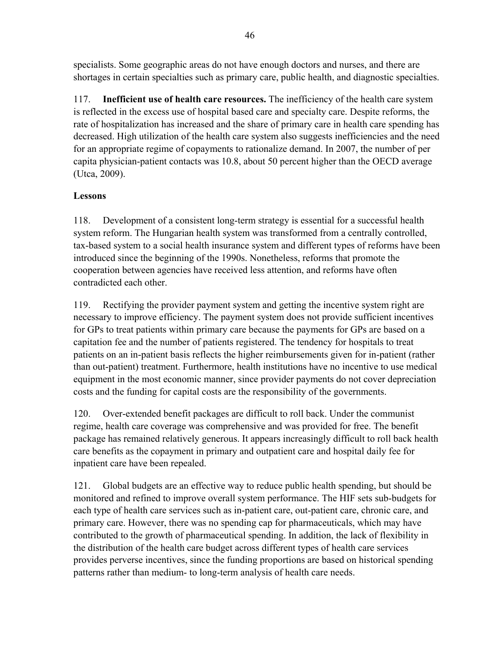specialists. Some geographic areas do not have enough doctors and nurses, and there are shortages in certain specialties such as primary care, public health, and diagnostic specialties.

117. **Inefficient use of health care resources.** The inefficiency of the health care system is reflected in the excess use of hospital based care and specialty care. Despite reforms, the rate of hospitalization has increased and the share of primary care in health care spending has decreased. High utilization of the health care system also suggests inefficiencies and the need for an appropriate regime of copayments to rationalize demand. In 2007, the number of per capita physician-patient contacts was 10.8, about 50 percent higher than the OECD average (Utca, 2009).

## **Lessons**

118. Development of a consistent long-term strategy is essential for a successful health system reform. The Hungarian health system was transformed from a centrally controlled, tax-based system to a social health insurance system and different types of reforms have been introduced since the beginning of the 1990s. Nonetheless, reforms that promote the cooperation between agencies have received less attention, and reforms have often contradicted each other.

119. Rectifying the provider payment system and getting the incentive system right are necessary to improve efficiency. The payment system does not provide sufficient incentives for GPs to treat patients within primary care because the payments for GPs are based on a capitation fee and the number of patients registered. The tendency for hospitals to treat patients on an in-patient basis reflects the higher reimbursements given for in-patient (rather than out-patient) treatment. Furthermore, health institutions have no incentive to use medical equipment in the most economic manner, since provider payments do not cover depreciation costs and the funding for capital costs are the responsibility of the governments.

120. Over-extended benefit packages are difficult to roll back. Under the communist regime, health care coverage was comprehensive and was provided for free. The benefit package has remained relatively generous. It appears increasingly difficult to roll back health care benefits as the copayment in primary and outpatient care and hospital daily fee for inpatient care have been repealed.

121. Global budgets are an effective way to reduce public health spending, but should be monitored and refined to improve overall system performance. The HIF sets sub-budgets for each type of health care services such as in-patient care, out-patient care, chronic care, and primary care. However, there was no spending cap for pharmaceuticals, which may have contributed to the growth of pharmaceutical spending. In addition, the lack of flexibility in the distribution of the health care budget across different types of health care services provides perverse incentives, since the funding proportions are based on historical spending patterns rather than medium- to long-term analysis of health care needs.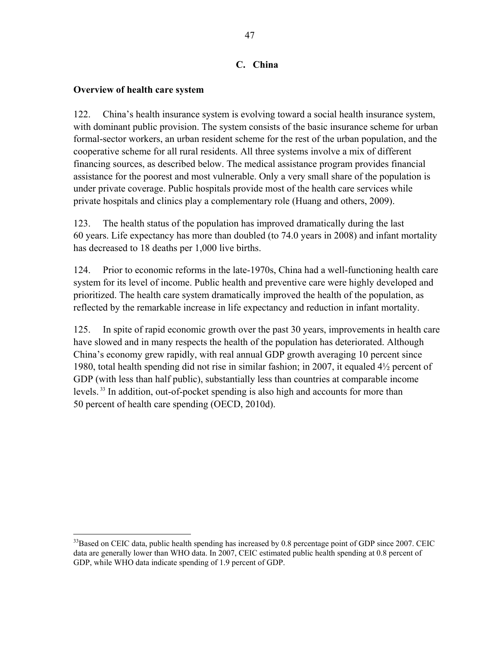## **C. China**

## **Overview of health care system**

 $\overline{a}$ 

122. China's health insurance system is evolving toward a social health insurance system, with dominant public provision. The system consists of the basic insurance scheme for urban formal-sector workers, an urban resident scheme for the rest of the urban population, and the cooperative scheme for all rural residents. All three systems involve a mix of different financing sources, as described below. The medical assistance program provides financial assistance for the poorest and most vulnerable. Only a very small share of the population is under private coverage. Public hospitals provide most of the health care services while private hospitals and clinics play a complementary role (Huang and others, 2009).

123. The health status of the population has improved dramatically during the last 60 years. Life expectancy has more than doubled (to 74.0 years in 2008) and infant mortality has decreased to 18 deaths per 1,000 live births.

124. Prior to economic reforms in the late-1970s, China had a well-functioning health care system for its level of income. Public health and preventive care were highly developed and prioritized. The health care system dramatically improved the health of the population, as reflected by the remarkable increase in life expectancy and reduction in infant mortality.

125. In spite of rapid economic growth over the past 30 years, improvements in health care have slowed and in many respects the health of the population has deteriorated. Although China's economy grew rapidly, with real annual GDP growth averaging 10 percent since 1980, total health spending did not rise in similar fashion; in 2007, it equaled 4½ percent of GDP (with less than half public), substantially less than countries at comparable income levels. 33 In addition, out-of-pocket spending is also high and accounts for more than 50 percent of health care spending (OECD, 2010d).

<sup>&</sup>lt;sup>33</sup>Based on CEIC data, public health spending has increased by 0.8 percentage point of GDP since 2007. CEIC data are generally lower than WHO data. In 2007, CEIC estimated public health spending at 0.8 percent of GDP, while WHO data indicate spending of 1.9 percent of GDP.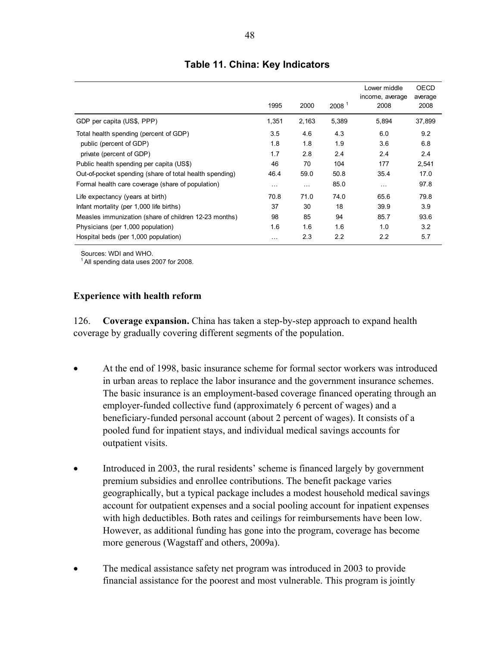|                                                         | 1995     | 2000     | 2008 <sup>1</sup> | Lower middle<br>income, average<br>2008 | OECD<br>average<br>2008 |
|---------------------------------------------------------|----------|----------|-------------------|-----------------------------------------|-------------------------|
| GDP per capita (US\$, PPP)                              | 1,351    | 2,163    | 5,389             | 5,894                                   | 37,899                  |
| Total health spending (percent of GDP)                  | 3.5      | 4.6      | 4.3               | 6.0                                     | 9.2                     |
| public (percent of GDP)                                 | 1.8      | 1.8      | 1.9               | 3.6                                     | 6.8                     |
| private (percent of GDP)                                | 1.7      | 2.8      | 2.4               | 2.4                                     | 2.4                     |
| Public health spending per capita (US\$)                | 46       | 70       | 104               | 177                                     | 2,541                   |
| Out-of-pocket spending (share of total health spending) | 46.4     | 59.0     | 50.8              | 35.4                                    | 17.0                    |
| Formal health care coverage (share of population)       | $\cdots$ | $\cdots$ | 85.0              | $\cdots$                                | 97.8                    |
| Life expectancy (years at birth)                        | 70.8     | 71.0     | 74.0              | 65.6                                    | 79.8                    |
| Infant mortality (per 1,000 life births)                | 37       | 30       | 18                | 39.9                                    | 3.9                     |
| Measles immunization (share of children 12-23 months)   | 98       | 85       | 94                | 85.7                                    | 93.6                    |
| Physicians (per 1,000 population)                       | 1.6      | 1.6      | 1.6               | 1.0                                     | 3.2                     |
| Hospital beds (per 1,000 population)                    | .        | 2.3      | 2.2               | 2.2                                     | 5.7                     |

## **Table 11. China: Key Indicators**

Sources: WDI and WHO.

 $<sup>1</sup>$  All spending data uses 2007 for 2008.</sup>

### **Experience with health reform**

126. **Coverage expansion.** China has taken a step-by-step approach to expand health coverage by gradually covering different segments of the population.

- At the end of 1998, basic insurance scheme for formal sector workers was introduced in urban areas to replace the labor insurance and the government insurance schemes. The basic insurance is an employment-based coverage financed operating through an employer-funded collective fund (approximately 6 percent of wages) and a beneficiary-funded personal account (about 2 percent of wages). It consists of a pooled fund for inpatient stays, and individual medical savings accounts for outpatient visits.
- Introduced in 2003, the rural residents' scheme is financed largely by government premium subsidies and enrollee contributions. The benefit package varies geographically, but a typical package includes a modest household medical savings account for outpatient expenses and a social pooling account for inpatient expenses with high deductibles. Both rates and ceilings for reimbursements have been low. However, as additional funding has gone into the program, coverage has become more generous (Wagstaff and others, 2009a).
- The medical assistance safety net program was introduced in 2003 to provide financial assistance for the poorest and most vulnerable. This program is jointly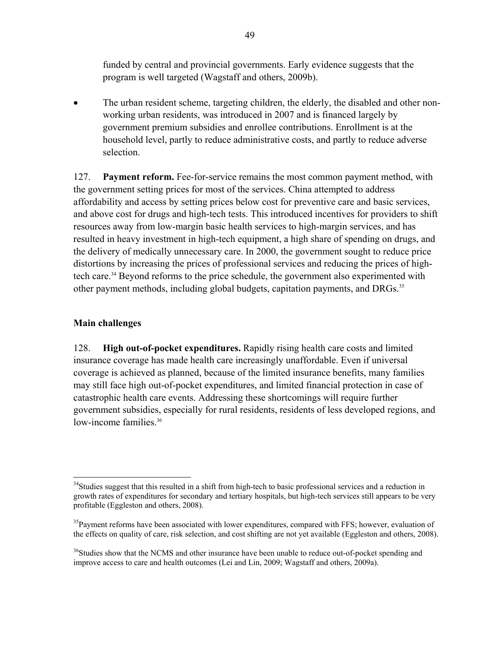funded by central and provincial governments. Early evidence suggests that the program is well targeted (Wagstaff and others, 2009b).

• The urban resident scheme, targeting children, the elderly, the disabled and other nonworking urban residents, was introduced in 2007 and is financed largely by government premium subsidies and enrollee contributions. Enrollment is at the household level, partly to reduce administrative costs, and partly to reduce adverse selection.

127. **Payment reform.** Fee-for-service remains the most common payment method, with the government setting prices for most of the services. China attempted to address affordability and access by setting prices below cost for preventive care and basic services, and above cost for drugs and high-tech tests. This introduced incentives for providers to shift resources away from low-margin basic health services to high-margin services, and has resulted in heavy investment in high-tech equipment, a high share of spending on drugs, and the delivery of medically unnecessary care. In 2000, the government sought to reduce price distortions by increasing the prices of professional services and reducing the prices of hightech care.<sup>34</sup> Beyond reforms to the price schedule, the government also experimented with other payment methods, including global budgets, capitation payments, and DRGs.<sup>35</sup>

## **Main challenges**

128. **High out-of-pocket expenditures.** Rapidly rising health care costs and limited insurance coverage has made health care increasingly unaffordable. Even if universal coverage is achieved as planned, because of the limited insurance benefits, many families may still face high out-of-pocket expenditures, and limited financial protection in case of catastrophic health care events. Addressing these shortcomings will require further government subsidies, especially for rural residents, residents of less developed regions, and low-income families.<sup>36</sup>

 $\overline{a}$ <sup>34</sup>Studies suggest that this resulted in a shift from high-tech to basic professional services and a reduction in growth rates of expenditures for secondary and tertiary hospitals, but high-tech services still appears to be very profitable (Eggleston and others, 2008).

 $35$ Payment reforms have been associated with lower expenditures, compared with FFS; however, evaluation of the effects on quality of care, risk selection, and cost shifting are not yet available (Eggleston and others, 2008).

<sup>&</sup>lt;sup>36</sup>Studies show that the NCMS and other insurance have been unable to reduce out-of-pocket spending and improve access to care and health outcomes (Lei and Lin, 2009; Wagstaff and others, 2009a).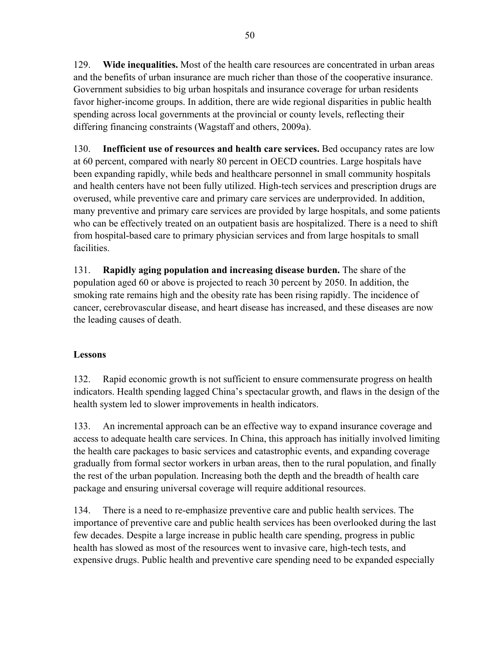129. **Wide inequalities.** Most of the health care resources are concentrated in urban areas and the benefits of urban insurance are much richer than those of the cooperative insurance. Government subsidies to big urban hospitals and insurance coverage for urban residents favor higher-income groups. In addition, there are wide regional disparities in public health spending across local governments at the provincial or county levels, reflecting their differing financing constraints (Wagstaff and others, 2009a).

130. **Inefficient use of resources and health care services.** Bed occupancy rates are low at 60 percent, compared with nearly 80 percent in OECD countries. Large hospitals have been expanding rapidly, while beds and healthcare personnel in small community hospitals and health centers have not been fully utilized. High-tech services and prescription drugs are overused, while preventive care and primary care services are underprovided. In addition, many preventive and primary care services are provided by large hospitals, and some patients who can be effectively treated on an outpatient basis are hospitalized. There is a need to shift from hospital-based care to primary physician services and from large hospitals to small facilities.

131. **Rapidly aging population and increasing disease burden.** The share of the population aged 60 or above is projected to reach 30 percent by 2050. In addition, the smoking rate remains high and the obesity rate has been rising rapidly. The incidence of cancer, cerebrovascular disease, and heart disease has increased, and these diseases are now the leading causes of death.

## **Lessons**

132. Rapid economic growth is not sufficient to ensure commensurate progress on health indicators. Health spending lagged China's spectacular growth, and flaws in the design of the health system led to slower improvements in health indicators.

133. An incremental approach can be an effective way to expand insurance coverage and access to adequate health care services. In China, this approach has initially involved limiting the health care packages to basic services and catastrophic events, and expanding coverage gradually from formal sector workers in urban areas, then to the rural population, and finally the rest of the urban population. Increasing both the depth and the breadth of health care package and ensuring universal coverage will require additional resources.

134. There is a need to re-emphasize preventive care and public health services. The importance of preventive care and public health services has been overlooked during the last few decades. Despite a large increase in public health care spending, progress in public health has slowed as most of the resources went to invasive care, high-tech tests, and expensive drugs. Public health and preventive care spending need to be expanded especially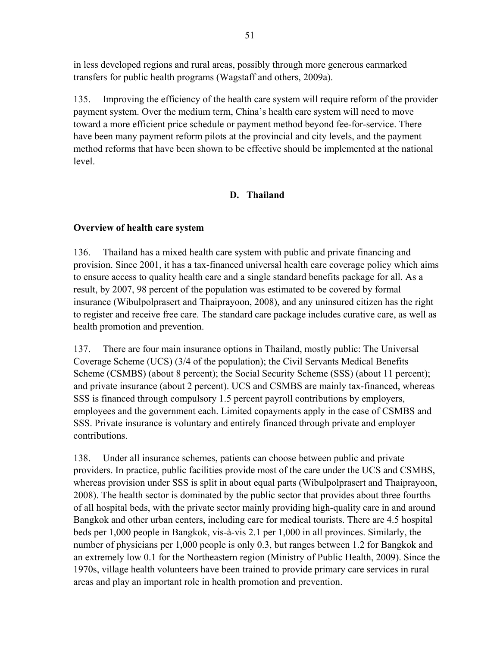in less developed regions and rural areas, possibly through more generous earmarked transfers for public health programs (Wagstaff and others, 2009a).

135. Improving the efficiency of the health care system will require reform of the provider payment system. Over the medium term, China's health care system will need to move toward a more efficient price schedule or payment method beyond fee-for-service. There have been many payment reform pilots at the provincial and city levels, and the payment method reforms that have been shown to be effective should be implemented at the national level.

## **D. Thailand**

## **Overview of health care system**

136. Thailand has a mixed health care system with public and private financing and provision. Since 2001, it has a tax-financed universal health care coverage policy which aims to ensure access to quality health care and a single standard benefits package for all. As a result, by 2007, 98 percent of the population was estimated to be covered by formal insurance (Wibulpolprasert and Thaiprayoon, 2008), and any uninsured citizen has the right to register and receive free care. The standard care package includes curative care, as well as health promotion and prevention.

137. There are four main insurance options in Thailand, mostly public: The Universal Coverage Scheme (UCS) (3/4 of the population); the Civil Servants Medical Benefits Scheme (CSMBS) (about 8 percent); the Social Security Scheme (SSS) (about 11 percent); and private insurance (about 2 percent). UCS and CSMBS are mainly tax-financed, whereas SSS is financed through compulsory 1.5 percent payroll contributions by employers, employees and the government each. Limited copayments apply in the case of CSMBS and SSS. Private insurance is voluntary and entirely financed through private and employer contributions.

138. Under all insurance schemes, patients can choose between public and private providers. In practice, public facilities provide most of the care under the UCS and CSMBS, whereas provision under SSS is split in about equal parts (Wibulpolprasert and Thaiprayoon, 2008). The health sector is dominated by the public sector that provides about three fourths of all hospital beds, with the private sector mainly providing high-quality care in and around Bangkok and other urban centers, including care for medical tourists. There are 4.5 hospital beds per 1,000 people in Bangkok, vis-à-vis 2.1 per 1,000 in all provinces. Similarly, the number of physicians per 1,000 people is only 0.3, but ranges between 1.2 for Bangkok and an extremely low 0.1 for the Northeastern region (Ministry of Public Health, 2009). Since the 1970s, village health volunteers have been trained to provide primary care services in rural areas and play an important role in health promotion and prevention.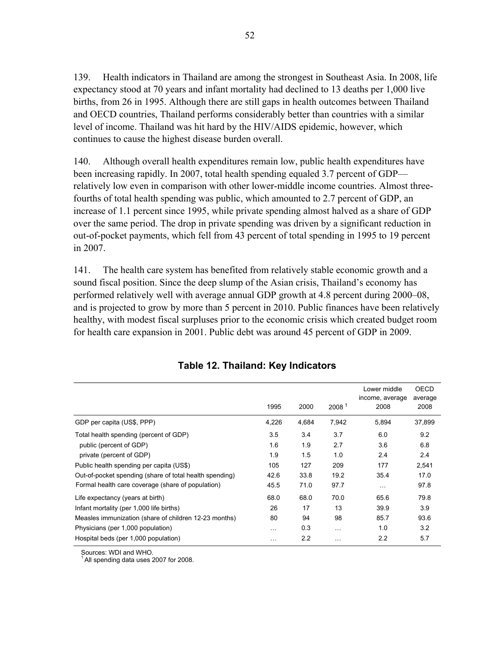139. Health indicators in Thailand are among the strongest in Southeast Asia. In 2008, life expectancy stood at 70 years and infant mortality had declined to 13 deaths per 1,000 live births, from 26 in 1995. Although there are still gaps in health outcomes between Thailand and OECD countries, Thailand performs considerably better than countries with a similar level of income. Thailand was hit hard by the HIV/AIDS epidemic, however, which continues to cause the highest disease burden overall.

140. Although overall health expenditures remain low, public health expenditures have been increasing rapidly. In 2007, total health spending equaled 3.7 percent of GDP relatively low even in comparison with other lower-middle income countries. Almost threefourths of total health spending was public, which amounted to 2.7 percent of GDP, an increase of 1.1 percent since 1995, while private spending almost halved as a share of GDP over the same period. The drop in private spending was driven by a significant reduction in out-of-pocket payments, which fell from 43 percent of total spending in 1995 to 19 percent in 2007.

141. The health care system has benefited from relatively stable economic growth and a sound fiscal position. Since the deep slump of the Asian crisis, Thailand's economy has performed relatively well with average annual GDP growth at 4.8 percent during 2000–08, and is projected to grow by more than 5 percent in 2010. Public finances have been relatively healthy, with modest fiscal surpluses prior to the economic crisis which created budget room for health care expansion in 2001. Public debt was around 45 percent of GDP in 2009.

|                                                         | 1995      | 2000  | 2008 <sup>1</sup> | Lower middle<br>income, average<br>2008 | OECD<br>average<br>2008 |
|---------------------------------------------------------|-----------|-------|-------------------|-----------------------------------------|-------------------------|
| GDP per capita (US\$, PPP)                              | 4,226     | 4,684 | 7,942             | 5,894                                   | 37,899                  |
| Total health spending (percent of GDP)                  | 3.5       | 3.4   | 3.7               | 6.0                                     | 9.2                     |
| public (percent of GDP)                                 | 1.6       | 1.9   | 2.7               | 3.6                                     | 6.8                     |
| private (percent of GDP)                                | 1.9       | 1.5   | 1.0               | 2.4                                     | 2.4                     |
| Public health spending per capita (US\$)                | 105       | 127   | 209               | 177                                     | 2,541                   |
| Out-of-pocket spending (share of total health spending) | 42.6      | 33.8  | 19.2              | 35.4                                    | 17.0                    |
| Formal health care coverage (share of population)       | 45.5      | 71.0  | 97.7              | $\cdots$                                | 97.8                    |
| Life expectancy (years at birth)                        | 68.0      | 68.0  | 70.0              | 65.6                                    | 79.8                    |
| Infant mortality (per 1,000 life births)                | 26        | 17    | 13                | 39.9                                    | 3.9                     |
| Measles immunization (share of children 12-23 months)   | 80        | 94    | 98                | 85.7                                    | 93.6                    |
| Physicians (per 1,000 population)                       | $\cdots$  | 0.3   | $\cdots$          | 1.0                                     | 3.2                     |
| Hospital beds (per 1,000 population)                    | $\ddotsc$ | 2.2   | $\cdots$          | 2.2                                     | 5.7                     |

| Table 12. Thailand: Key Indicators |  |
|------------------------------------|--|
|------------------------------------|--|

Sources: WDI and WHO.

All spending data uses 2007 for 2008.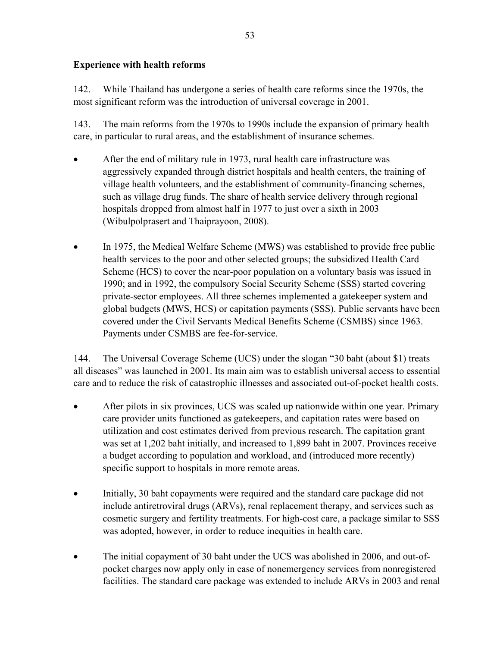## **Experience with health reforms**

142. While Thailand has undergone a series of health care reforms since the 1970s, the most significant reform was the introduction of universal coverage in 2001.

143. The main reforms from the 1970s to 1990s include the expansion of primary health care, in particular to rural areas, and the establishment of insurance schemes.

- After the end of military rule in 1973, rural health care infrastructure was aggressively expanded through district hospitals and health centers, the training of village health volunteers, and the establishment of community-financing schemes, such as village drug funds. The share of health service delivery through regional hospitals dropped from almost half in 1977 to just over a sixth in 2003 (Wibulpolprasert and Thaiprayoon, 2008).
- In 1975, the Medical Welfare Scheme (MWS) was established to provide free public health services to the poor and other selected groups; the subsidized Health Card Scheme (HCS) to cover the near-poor population on a voluntary basis was issued in 1990; and in 1992, the compulsory Social Security Scheme (SSS) started covering private-sector employees. All three schemes implemented a gatekeeper system and global budgets (MWS, HCS) or capitation payments (SSS). Public servants have been covered under the Civil Servants Medical Benefits Scheme (CSMBS) since 1963. Payments under CSMBS are fee-for-service.

144. The Universal Coverage Scheme (UCS) under the slogan "30 baht (about \$1) treats all diseases" was launched in 2001. Its main aim was to establish universal access to essential care and to reduce the risk of catastrophic illnesses and associated out-of-pocket health costs.

- After pilots in six provinces, UCS was scaled up nationwide within one year. Primary care provider units functioned as gatekeepers, and capitation rates were based on utilization and cost estimates derived from previous research. The capitation grant was set at 1,202 baht initially, and increased to 1,899 baht in 2007. Provinces receive a budget according to population and workload, and (introduced more recently) specific support to hospitals in more remote areas.
- Initially, 30 baht copayments were required and the standard care package did not include antiretroviral drugs (ARVs), renal replacement therapy, and services such as cosmetic surgery and fertility treatments. For high-cost care, a package similar to SSS was adopted, however, in order to reduce inequities in health care.
- The initial copayment of 30 baht under the UCS was abolished in 2006, and out-ofpocket charges now apply only in case of nonemergency services from nonregistered facilities. The standard care package was extended to include ARVs in 2003 and renal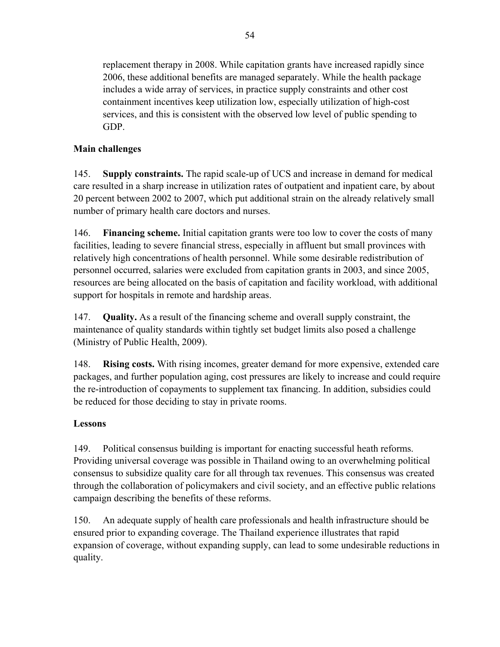replacement therapy in 2008. While capitation grants have increased rapidly since 2006, these additional benefits are managed separately. While the health package includes a wide array of services, in practice supply constraints and other cost containment incentives keep utilization low, especially utilization of high-cost services, and this is consistent with the observed low level of public spending to GDP.

## **Main challenges**

145. **Supply constraints.** The rapid scale-up of UCS and increase in demand for medical care resulted in a sharp increase in utilization rates of outpatient and inpatient care, by about 20 percent between 2002 to 2007, which put additional strain on the already relatively small number of primary health care doctors and nurses.

146. **Financing scheme.** Initial capitation grants were too low to cover the costs of many facilities, leading to severe financial stress, especially in affluent but small provinces with relatively high concentrations of health personnel. While some desirable redistribution of personnel occurred, salaries were excluded from capitation grants in 2003, and since 2005, resources are being allocated on the basis of capitation and facility workload, with additional support for hospitals in remote and hardship areas.

147. **Quality.** As a result of the financing scheme and overall supply constraint, the maintenance of quality standards within tightly set budget limits also posed a challenge (Ministry of Public Health, 2009).

148. **Rising costs.** With rising incomes, greater demand for more expensive, extended care packages, and further population aging, cost pressures are likely to increase and could require the re-introduction of copayments to supplement tax financing. In addition, subsidies could be reduced for those deciding to stay in private rooms.

## **Lessons**

149. Political consensus building is important for enacting successful heath reforms. Providing universal coverage was possible in Thailand owing to an overwhelming political consensus to subsidize quality care for all through tax revenues. This consensus was created through the collaboration of policymakers and civil society, and an effective public relations campaign describing the benefits of these reforms.

150. An adequate supply of health care professionals and health infrastructure should be ensured prior to expanding coverage. The Thailand experience illustrates that rapid expansion of coverage, without expanding supply, can lead to some undesirable reductions in quality.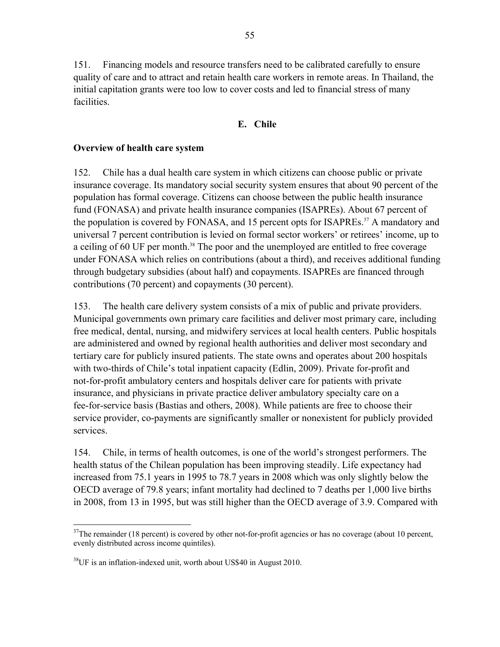151. Financing models and resource transfers need to be calibrated carefully to ensure quality of care and to attract and retain health care workers in remote areas. In Thailand, the initial capitation grants were too low to cover costs and led to financial stress of many facilities.

### **E. Chile**

### **Overview of health care system**

152. Chile has a dual health care system in which citizens can choose public or private insurance coverage. Its mandatory social security system ensures that about 90 percent of the population has formal coverage. Citizens can choose between the public health insurance fund (FONASA) and private health insurance companies (ISAPREs). About 67 percent of the population is covered by FONASA, and 15 percent opts for ISAPREs.<sup>37</sup> A mandatory and universal 7 percent contribution is levied on formal sector workers' or retirees' income, up to a ceiling of 60 UF per month.<sup>38</sup> The poor and the unemployed are entitled to free coverage under FONASA which relies on contributions (about a third), and receives additional funding through budgetary subsidies (about half) and copayments. ISAPREs are financed through contributions (70 percent) and copayments (30 percent).

153. The health care delivery system consists of a mix of public and private providers. Municipal governments own primary care facilities and deliver most primary care, including free medical, dental, nursing, and midwifery services at local health centers. Public hospitals are administered and owned by regional health authorities and deliver most secondary and tertiary care for publicly insured patients. The state owns and operates about 200 hospitals with two-thirds of Chile's total inpatient capacity (Edlin, 2009). Private for-profit and not-for-profit ambulatory centers and hospitals deliver care for patients with private insurance, and physicians in private practice deliver ambulatory specialty care on a fee-for-service basis (Bastias and others, 2008). While patients are free to choose their service provider, co-payments are significantly smaller or nonexistent for publicly provided services.

154. Chile, in terms of health outcomes, is one of the world's strongest performers. The health status of the Chilean population has been improving steadily. Life expectancy had increased from 75.1 years in 1995 to 78.7 years in 2008 which was only slightly below the OECD average of 79.8 years; infant mortality had declined to 7 deaths per 1,000 live births in 2008, from 13 in 1995, but was still higher than the OECD average of 3.9. Compared with

 $\overline{a}$ 

<sup>&</sup>lt;sup>37</sup>The remainder (18 percent) is covered by other not-for-profit agencies or has no coverage (about 10 percent, evenly distributed across income quintiles).

 $38$ UF is an inflation-indexed unit, worth about US\$40 in August 2010.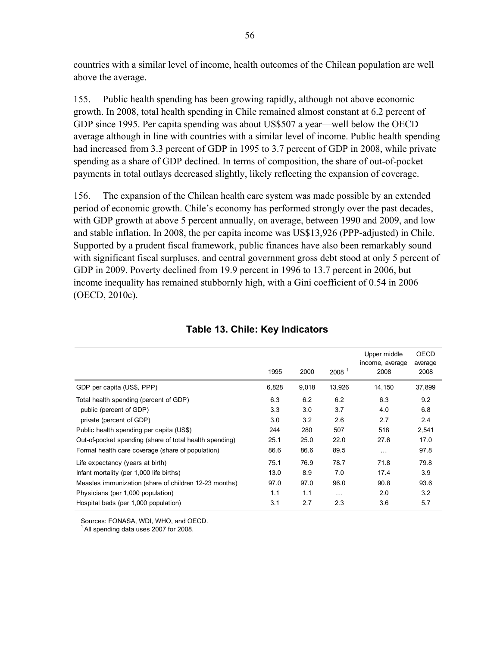countries with a similar level of income, health outcomes of the Chilean population are well above the average.

155. Public health spending has been growing rapidly, although not above economic growth. In 2008, total health spending in Chile remained almost constant at 6.2 percent of GDP since 1995. Per capita spending was about US\$507 a year—well below the OECD average although in line with countries with a similar level of income. Public health spending had increased from 3.3 percent of GDP in 1995 to 3.7 percent of GDP in 2008, while private spending as a share of GDP declined. In terms of composition, the share of out-of-pocket payments in total outlays decreased slightly, likely reflecting the expansion of coverage.

156. The expansion of the Chilean health care system was made possible by an extended period of economic growth. Chile's economy has performed strongly over the past decades, with GDP growth at above 5 percent annually, on average, between 1990 and 2009, and low and stable inflation. In 2008, the per capita income was US\$13,926 (PPP-adjusted) in Chile. Supported by a prudent fiscal framework, public finances have also been remarkably sound with significant fiscal surpluses, and central government gross debt stood at only 5 percent of GDP in 2009. Poverty declined from 19.9 percent in 1996 to 13.7 percent in 2006, but income inequality has remained stubbornly high, with a Gini coefficient of 0.54 in 2006 (OECD, 2010c).

|                                                         | 1995  | 2000  | 2008 <sup>1</sup> | Upper middle<br>income, average<br>2008 | <b>OECD</b><br>average<br>2008 |
|---------------------------------------------------------|-------|-------|-------------------|-----------------------------------------|--------------------------------|
| GDP per capita (US\$, PPP)                              | 6,828 | 9,018 | 13,926            | 14,150                                  | 37,899                         |
| Total health spending (percent of GDP)                  | 6.3   | 6.2   | 6.2               | 6.3                                     | 9.2                            |
| public (percent of GDP)                                 | 3.3   | 3.0   | 3.7               | 4.0                                     | 6.8                            |
| private (percent of GDP)                                | 3.0   | 3.2   | 2.6               | 2.7                                     | 2.4                            |
| Public health spending per capita (US\$)                | 244   | 280   | 507               | 518                                     | 2,541                          |
| Out-of-pocket spending (share of total health spending) | 25.1  | 25.0  | 22.0              | 27.6                                    | 17.0                           |
| Formal health care coverage (share of population)       | 86.6  | 86.6  | 89.5              | $\cdots$                                | 97.8                           |
| Life expectancy (years at birth)                        | 75.1  | 76.9  | 78.7              | 71.8                                    | 79.8                           |
| Infant mortality (per 1,000 life births)                | 13.0  | 8.9   | 7.0               | 17.4                                    | 3.9                            |
| Measles immunization (share of children 12-23 months)   | 97.0  | 97.0  | 96.0              | 90.8                                    | 93.6                           |
| Physicians (per 1,000 population)                       | 1.1   | 1.1   | $\cdots$          | 2.0                                     | 3.2                            |
| Hospital beds (per 1,000 population)                    | 3.1   | 2.7   | 2.3               | 3.6                                     | 5.7                            |

### **Table 13. Chile: Key Indicators**

Sources: FONASA, WDI, WHO, and OECD.

 $<sup>1</sup>$  All spending data uses 2007 for 2008.</sup>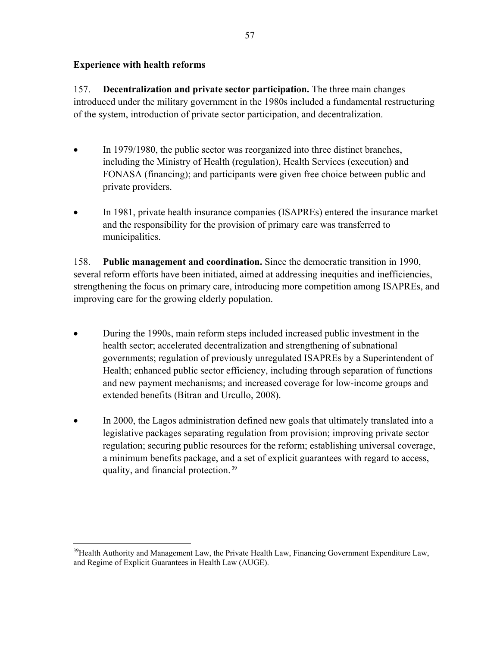## **Experience with health reforms**

157. **Decentralization and private sector participation.** The three main changes introduced under the military government in the 1980s included a fundamental restructuring of the system, introduction of private sector participation, and decentralization.

- In 1979/1980, the public sector was reorganized into three distinct branches, including the Ministry of Health (regulation), Health Services (execution) and FONASA (financing); and participants were given free choice between public and private providers.
- In 1981, private health insurance companies (ISAPREs) entered the insurance market and the responsibility for the provision of primary care was transferred to municipalities.

158. **Public management and coordination.** Since the democratic transition in 1990, several reform efforts have been initiated, aimed at addressing inequities and inefficiencies, strengthening the focus on primary care, introducing more competition among ISAPREs, and improving care for the growing elderly population.

- During the 1990s, main reform steps included increased public investment in the health sector; accelerated decentralization and strengthening of subnational governments; regulation of previously unregulated ISAPREs by a Superintendent of Health; enhanced public sector efficiency, including through separation of functions and new payment mechanisms; and increased coverage for low-income groups and extended benefits (Bitran and Urcullo, 2008).
- In 2000, the Lagos administration defined new goals that ultimately translated into a legislative packages separating regulation from provision; improving private sector regulation; securing public resources for the reform; establishing universal coverage, a minimum benefits package, and a set of explicit guarantees with regard to access, quality, and financial protection. 39

 $\overline{a}$ <sup>39</sup>Health Authority and Management Law, the Private Health Law, Financing Government Expenditure Law, and Regime of Explicit Guarantees in Health Law (AUGE).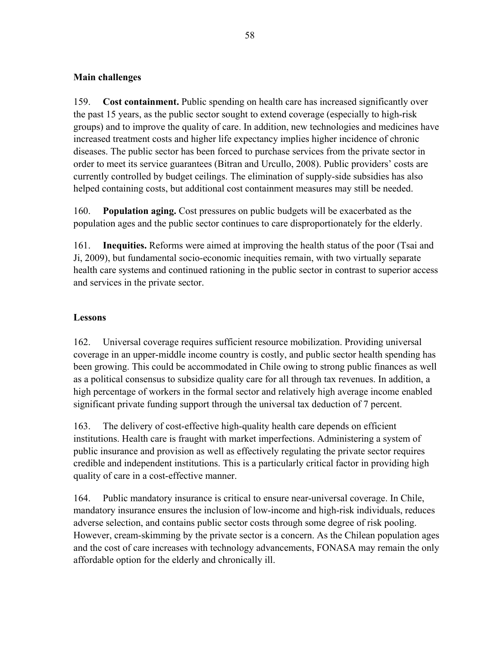## **Main challenges**

159. **Cost containment.** Public spending on health care has increased significantly over the past 15 years, as the public sector sought to extend coverage (especially to high-risk groups) and to improve the quality of care. In addition, new technologies and medicines have increased treatment costs and higher life expectancy implies higher incidence of chronic diseases. The public sector has been forced to purchase services from the private sector in order to meet its service guarantees (Bitran and Urcullo, 2008). Public providers' costs are currently controlled by budget ceilings. The elimination of supply-side subsidies has also helped containing costs, but additional cost containment measures may still be needed.

160. **Population aging.** Cost pressures on public budgets will be exacerbated as the population ages and the public sector continues to care disproportionately for the elderly.

161. **Inequities.** Reforms were aimed at improving the health status of the poor (Tsai and Ji, 2009), but fundamental socio-economic inequities remain, with two virtually separate health care systems and continued rationing in the public sector in contrast to superior access and services in the private sector.

## **Lessons**

162. Universal coverage requires sufficient resource mobilization. Providing universal coverage in an upper-middle income country is costly, and public sector health spending has been growing. This could be accommodated in Chile owing to strong public finances as well as a political consensus to subsidize quality care for all through tax revenues. In addition, a high percentage of workers in the formal sector and relatively high average income enabled significant private funding support through the universal tax deduction of 7 percent.

163. The delivery of cost-effective high-quality health care depends on efficient institutions. Health care is fraught with market imperfections. Administering a system of public insurance and provision as well as effectively regulating the private sector requires credible and independent institutions. This is a particularly critical factor in providing high quality of care in a cost-effective manner.

164. Public mandatory insurance is critical to ensure near-universal coverage. In Chile, mandatory insurance ensures the inclusion of low-income and high-risk individuals, reduces adverse selection, and contains public sector costs through some degree of risk pooling. However, cream-skimming by the private sector is a concern. As the Chilean population ages and the cost of care increases with technology advancements, FONASA may remain the only affordable option for the elderly and chronically ill.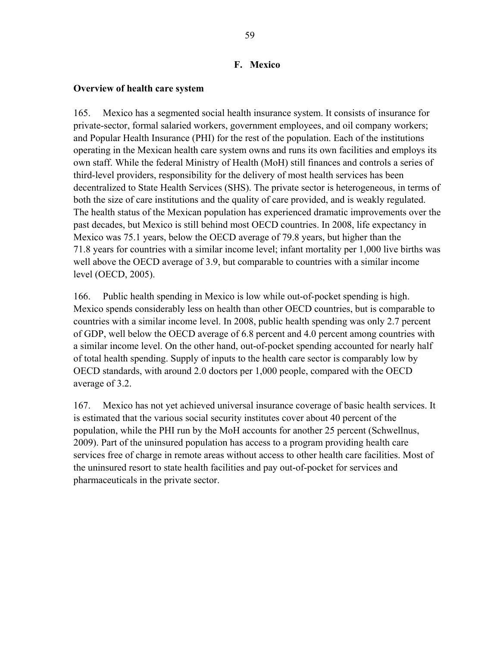### **F. Mexico**

### **Overview of health care system**

165. Mexico has a segmented social health insurance system. It consists of insurance for private-sector, formal salaried workers, government employees, and oil company workers; and Popular Health Insurance (PHI) for the rest of the population. Each of the institutions operating in the Mexican health care system owns and runs its own facilities and employs its own staff. While the federal Ministry of Health (MoH) still finances and controls a series of third-level providers, responsibility for the delivery of most health services has been decentralized to State Health Services (SHS). The private sector is heterogeneous, in terms of both the size of care institutions and the quality of care provided, and is weakly regulated. The health status of the Mexican population has experienced dramatic improvements over the past decades, but Mexico is still behind most OECD countries. In 2008, life expectancy in Mexico was 75.1 years, below the OECD average of 79.8 years, but higher than the 71.8 years for countries with a similar income level; infant mortality per 1,000 live births was well above the OECD average of 3.9, but comparable to countries with a similar income level (OECD, 2005).

166. Public health spending in Mexico is low while out-of-pocket spending is high. Mexico spends considerably less on health than other OECD countries, but is comparable to countries with a similar income level. In 2008, public health spending was only 2.7 percent of GDP, well below the OECD average of 6.8 percent and 4.0 percent among countries with a similar income level. On the other hand, out-of-pocket spending accounted for nearly half of total health spending. Supply of inputs to the health care sector is comparably low by OECD standards, with around 2.0 doctors per 1,000 people, compared with the OECD average of 3.2.

167. Mexico has not yet achieved universal insurance coverage of basic health services. It is estimated that the various social security institutes cover about 40 percent of the population, while the PHI run by the MoH accounts for another 25 percent (Schwellnus, 2009). Part of the uninsured population has access to a program providing health care services free of charge in remote areas without access to other health care facilities. Most of the uninsured resort to state health facilities and pay out-of-pocket for services and pharmaceuticals in the private sector.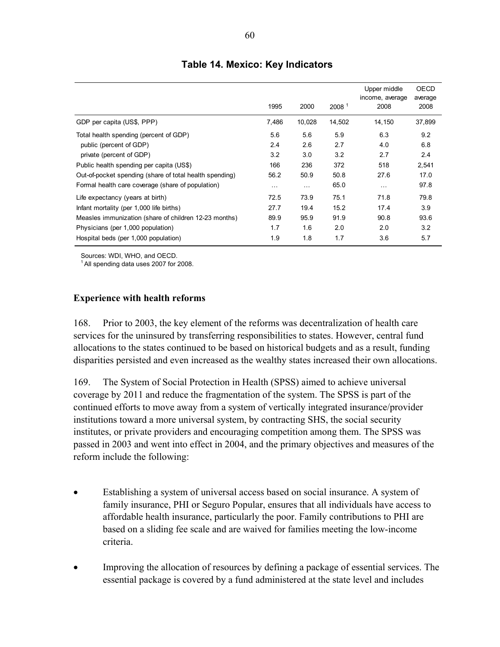|                                                         | 1995     | 2000     | 2008 <sup>1</sup> | Upper middle<br>income, average<br>2008 | OECD<br>average<br>2008 |
|---------------------------------------------------------|----------|----------|-------------------|-----------------------------------------|-------------------------|
| GDP per capita (US\$, PPP)                              | 7,486    | 10,028   | 14,502            | 14,150                                  | 37,899                  |
| Total health spending (percent of GDP)                  | 5.6      | 5.6      | 5.9               | 6.3                                     | 9.2                     |
| public (percent of GDP)                                 | 2.4      | 2.6      | 2.7               | 4.0                                     | 6.8                     |
| private (percent of GDP)                                | 3.2      | 3.0      | 3.2               | 2.7                                     | 2.4                     |
| Public health spending per capita (US\$)                | 166      | 236      | 372               | 518                                     | 2,541                   |
| Out-of-pocket spending (share of total health spending) | 56.2     | 50.9     | 50.8              | 27.6                                    | 17.0                    |
| Formal health care coverage (share of population)       | $\cdots$ | $\cdots$ | 65.0              | $\cdots$                                | 97.8                    |
| Life expectancy (years at birth)                        | 72.5     | 73.9     | 75.1              | 71.8                                    | 79.8                    |
| Infant mortality (per 1,000 life births)                | 27.7     | 19.4     | 15.2              | 17.4                                    | 3.9                     |
| Measles immunization (share of children 12-23 months)   | 89.9     | 95.9     | 91.9              | 90.8                                    | 93.6                    |
| Physicians (per 1,000 population)                       | 1.7      | 1.6      | 2.0               | 2.0                                     | 3.2                     |
| Hospital beds (per 1,000 population)                    | 1.9      | 1.8      | 1.7               | 3.6                                     | 5.7                     |

## **Table 14. Mexico: Key Indicators**

Sources: WDI, WHO, and OECD.

 $<sup>1</sup>$  All spending data uses 2007 for 2008.</sup>

### **Experience with health reforms**

168. Prior to 2003, the key element of the reforms was decentralization of health care services for the uninsured by transferring responsibilities to states. However, central fund allocations to the states continued to be based on historical budgets and as a result, funding disparities persisted and even increased as the wealthy states increased their own allocations.

169. The System of Social Protection in Health (SPSS) aimed to achieve universal coverage by 2011 and reduce the fragmentation of the system. The SPSS is part of the continued efforts to move away from a system of vertically integrated insurance/provider institutions toward a more universal system, by contracting SHS, the social security institutes, or private providers and encouraging competition among them. The SPSS was passed in 2003 and went into effect in 2004, and the primary objectives and measures of the reform include the following:

- Establishing a system of universal access based on social insurance. A system of family insurance, PHI or Seguro Popular, ensures that all individuals have access to affordable health insurance, particularly the poor. Family contributions to PHI are based on a sliding fee scale and are waived for families meeting the low-income criteria.
- Improving the allocation of resources by defining a package of essential services. The essential package is covered by a fund administered at the state level and includes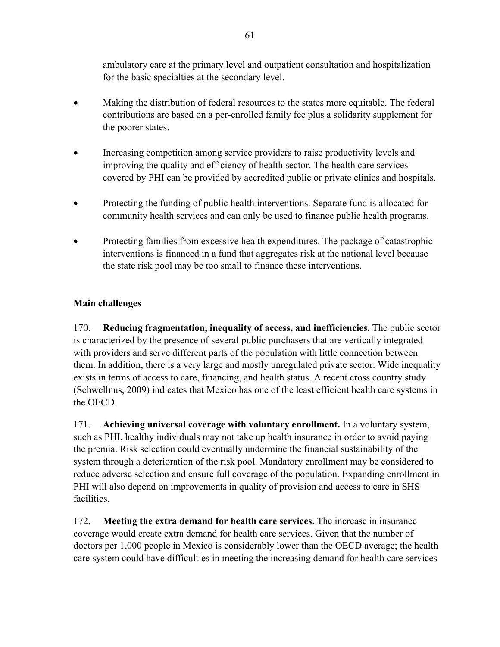ambulatory care at the primary level and outpatient consultation and hospitalization for the basic specialties at the secondary level.

- Making the distribution of federal resources to the states more equitable. The federal contributions are based on a per-enrolled family fee plus a solidarity supplement for the poorer states.
- Increasing competition among service providers to raise productivity levels and improving the quality and efficiency of health sector. The health care services covered by PHI can be provided by accredited public or private clinics and hospitals.
- Protecting the funding of public health interventions. Separate fund is allocated for community health services and can only be used to finance public health programs.
- Protecting families from excessive health expenditures. The package of catastrophic interventions is financed in a fund that aggregates risk at the national level because the state risk pool may be too small to finance these interventions.

## **Main challenges**

170. **Reducing fragmentation, inequality of access, and inefficiencies.** The public sector is characterized by the presence of several public purchasers that are vertically integrated with providers and serve different parts of the population with little connection between them. In addition, there is a very large and mostly unregulated private sector. Wide inequality exists in terms of access to care, financing, and health status. A recent cross country study (Schwellnus, 2009) indicates that Mexico has one of the least efficient health care systems in the OECD.

171. **Achieving universal coverage with voluntary enrollment.** In a voluntary system, such as PHI, healthy individuals may not take up health insurance in order to avoid paying the premia. Risk selection could eventually undermine the financial sustainability of the system through a deterioration of the risk pool. Mandatory enrollment may be considered to reduce adverse selection and ensure full coverage of the population. Expanding enrollment in PHI will also depend on improvements in quality of provision and access to care in SHS facilities.

172. **Meeting the extra demand for health care services.** The increase in insurance coverage would create extra demand for health care services. Given that the number of doctors per 1,000 people in Mexico is considerably lower than the OECD average; the health care system could have difficulties in meeting the increasing demand for health care services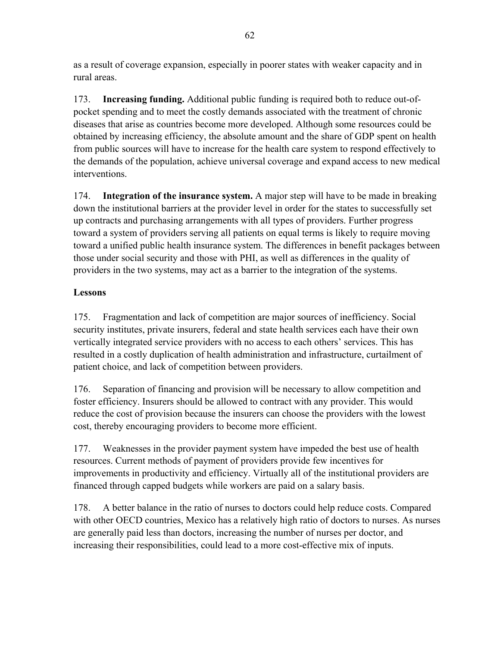as a result of coverage expansion, especially in poorer states with weaker capacity and in rural areas.

173. **Increasing funding.** Additional public funding is required both to reduce out-ofpocket spending and to meet the costly demands associated with the treatment of chronic diseases that arise as countries become more developed. Although some resources could be obtained by increasing efficiency, the absolute amount and the share of GDP spent on health from public sources will have to increase for the health care system to respond effectively to the demands of the population, achieve universal coverage and expand access to new medical interventions.

174. **Integration of the insurance system.** A major step will have to be made in breaking down the institutional barriers at the provider level in order for the states to successfully set up contracts and purchasing arrangements with all types of providers. Further progress toward a system of providers serving all patients on equal terms is likely to require moving toward a unified public health insurance system. The differences in benefit packages between those under social security and those with PHI, as well as differences in the quality of providers in the two systems, may act as a barrier to the integration of the systems.

## **Lessons**

175. Fragmentation and lack of competition are major sources of inefficiency. Social security institutes, private insurers, federal and state health services each have their own vertically integrated service providers with no access to each others' services. This has resulted in a costly duplication of health administration and infrastructure, curtailment of patient choice, and lack of competition between providers.

176. Separation of financing and provision will be necessary to allow competition and foster efficiency. Insurers should be allowed to contract with any provider. This would reduce the cost of provision because the insurers can choose the providers with the lowest cost, thereby encouraging providers to become more efficient.

177. Weaknesses in the provider payment system have impeded the best use of health resources. Current methods of payment of providers provide few incentives for improvements in productivity and efficiency. Virtually all of the institutional providers are financed through capped budgets while workers are paid on a salary basis.

178. A better balance in the ratio of nurses to doctors could help reduce costs. Compared with other OECD countries, Mexico has a relatively high ratio of doctors to nurses. As nurses are generally paid less than doctors, increasing the number of nurses per doctor, and increasing their responsibilities, could lead to a more cost-effective mix of inputs.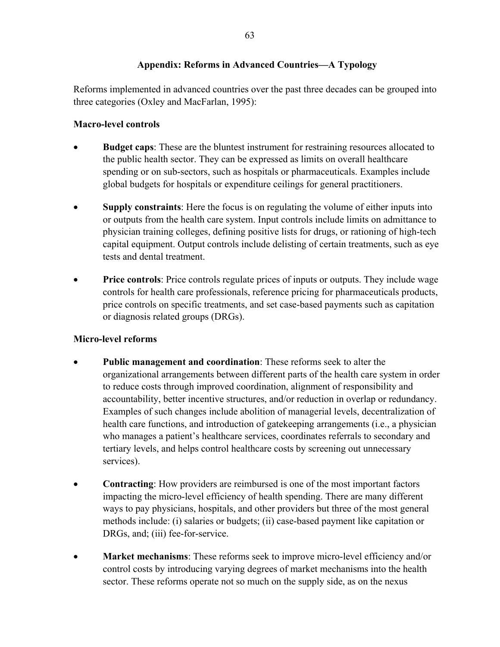## **Appendix: Reforms in Advanced Countries—A Typology**

Reforms implemented in advanced countries over the past three decades can be grouped into three categories (Oxley and MacFarlan, 1995):

## **Macro-level controls**

- **Budget caps**: These are the bluntest instrument for restraining resources allocated to the public health sector. They can be expressed as limits on overall healthcare spending or on sub-sectors, such as hospitals or pharmaceuticals. Examples include global budgets for hospitals or expenditure ceilings for general practitioners.
- **Supply constraints**: Here the focus is on regulating the volume of either inputs into or outputs from the health care system. Input controls include limits on admittance to physician training colleges, defining positive lists for drugs, or rationing of high-tech capital equipment. Output controls include delisting of certain treatments, such as eye tests and dental treatment.
- **Price controls**: Price controls regulate prices of inputs or outputs. They include wage controls for health care professionals, reference pricing for pharmaceuticals products, price controls on specific treatments, and set case-based payments such as capitation or diagnosis related groups (DRGs).

## **Micro-level reforms**

- **Public management and coordination**: These reforms seek to alter the organizational arrangements between different parts of the health care system in order to reduce costs through improved coordination, alignment of responsibility and accountability, better incentive structures, and/or reduction in overlap or redundancy. Examples of such changes include abolition of managerial levels, decentralization of health care functions, and introduction of gatekeeping arrangements (i.e., a physician who manages a patient's healthcare services, coordinates referrals to secondary and tertiary levels, and helps control healthcare costs by screening out unnecessary services).
- **Contracting**: How providers are reimbursed is one of the most important factors impacting the micro-level efficiency of health spending. There are many different ways to pay physicians, hospitals, and other providers but three of the most general methods include: (i) salaries or budgets; (ii) case-based payment like capitation or DRGs, and; (iii) fee-for-service.
- **Market mechanisms**: These reforms seek to improve micro-level efficiency and/or control costs by introducing varying degrees of market mechanisms into the health sector. These reforms operate not so much on the supply side, as on the nexus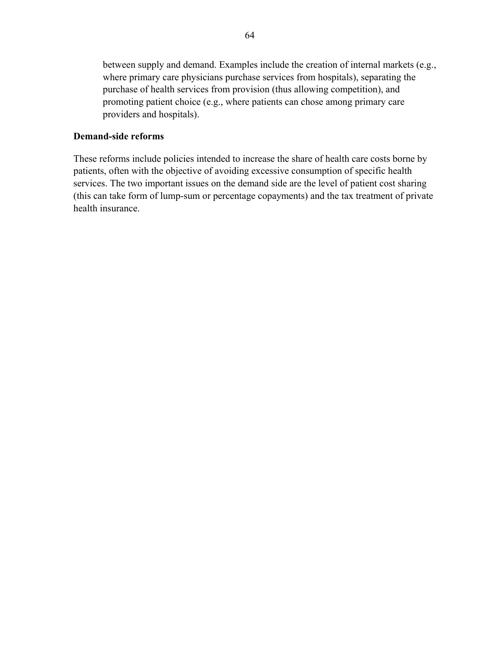between supply and demand. Examples include the creation of internal markets (e.g., where primary care physicians purchase services from hospitals), separating the purchase of health services from provision (thus allowing competition), and promoting patient choice (e.g., where patients can chose among primary care providers and hospitals).

### **Demand-side reforms**

These reforms include policies intended to increase the share of health care costs borne by patients, often with the objective of avoiding excessive consumption of specific health services. The two important issues on the demand side are the level of patient cost sharing (this can take form of lump-sum or percentage copayments) and the tax treatment of private health insurance.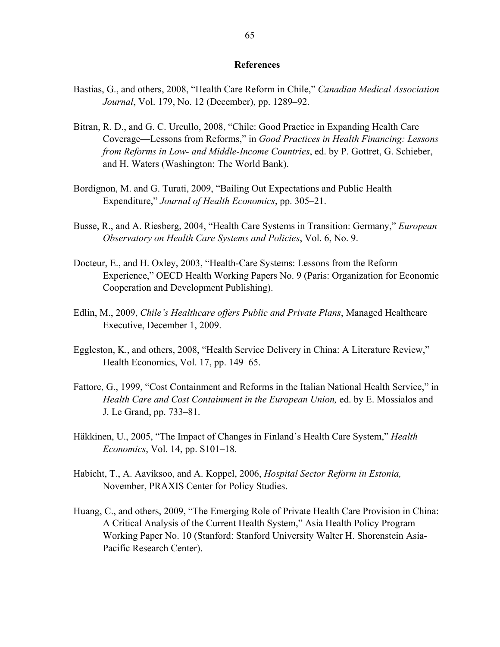#### **References**

- Bastias, G., and others, 2008, "Health Care Reform in Chile," *Canadian Medical Association Journal*, Vol. 179, No. 12 (December), pp. 1289–92.
- Bitran, R. D., and G. C. Urcullo, 2008, "Chile: Good Practice in Expanding Health Care Coverage—Lessons from Reforms," in *Good Practices in Health Financing: Lessons from Reforms in Low- and Middle-Income Countries*, ed. by P. Gottret, G. Schieber, and H. Waters (Washington: The World Bank).
- Bordignon, M. and G. Turati, 2009, "Bailing Out Expectations and Public Health Expenditure," *Journal of Health Economics*, pp. 305–21.
- Busse, R., and A. Riesberg, 2004, "Health Care Systems in Transition: Germany," *European Observatory on Health Care Systems and Policies*, Vol. 6, No. 9.
- Docteur, E., and H. Oxley, 2003, "Health-Care Systems: Lessons from the Reform Experience," OECD Health Working Papers No. 9 (Paris: Organization for Economic Cooperation and Development Publishing).
- Edlin, M., 2009, *Chile's Healthcare offers Public and Private Plans*, Managed Healthcare Executive, December 1, 2009.
- Eggleston, K., and others, 2008, "Health Service Delivery in China: A Literature Review," Health Economics, Vol. 17, pp. 149–65.
- Fattore, G., 1999, "Cost Containment and Reforms in the Italian National Health Service," in *Health Care and Cost Containment in the European Union,* ed. by E. Mossialos and J. Le Grand, pp. 733–81.
- Häkkinen, U., 2005, "The Impact of Changes in Finland's Health Care System," *Health Economics*, Vol. 14, pp. S101–18.
- Habicht, T., A. Aaviksoo, and A. Koppel, 2006, *Hospital Sector Reform in Estonia,* November, PRAXIS Center for Policy Studies.
- Huang, C., and others, 2009, "The Emerging Role of Private Health Care Provision in China: A Critical Analysis of the Current Health System," Asia Health Policy Program Working Paper No. 10 (Stanford: Stanford University Walter H. Shorenstein Asia-Pacific Research Center).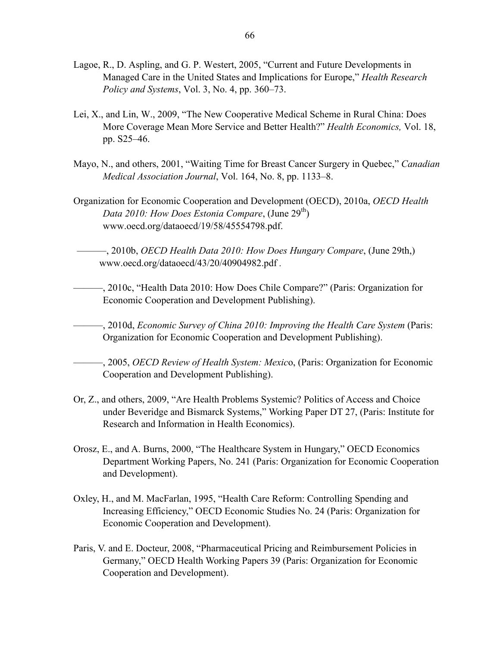- Lagoe, R., D. Aspling, and G. P. Westert, 2005, "Current and Future Developments in Managed Care in the United States and Implications for Europe," *Health Research Policy and Systems*, Vol. 3, No. 4, pp. 360–73.
- Lei, X., and Lin, W., 2009, "The New Cooperative Medical Scheme in Rural China: Does More Coverage Mean More Service and Better Health?" *Health Economics,* Vol. 18, pp. S25–46.
- Mayo, N., and others, 2001, "Waiting Time for Breast Cancer Surgery in Quebec," *Canadian Medical Association Journal*, Vol. 164, No. 8, pp. 1133–8.
- Organization for Economic Cooperation and Development (OECD), 2010a, *OECD Health Data 2010: How Does Estonia Compare*, (June 29<sup>th</sup>) www.oecd.org/dataoecd/19/58/45554798.pdf.

———, 2010b, *OECD Health Data 2010: How Does Hungary Compare*, (June 29th,) www.oecd.org/dataoecd/43/20/40904982.pdf *.*

- ———, 2010c, "Health Data 2010: How Does Chile Compare?" (Paris: Organization for Economic Cooperation and Development Publishing).
- ———, 2010d, *Economic Survey of China 2010: Improving the Health Care System* (Paris: Organization for Economic Cooperation and Development Publishing).

———, 2005, *OECD Review of Health System: Mexic*o, (Paris: Organization for Economic Cooperation and Development Publishing).

- Or, Z., and others, 2009, "Are Health Problems Systemic? Politics of Access and Choice under Beveridge and Bismarck Systems," Working Paper DT 27, (Paris: Institute for Research and Information in Health Economics).
- Orosz, E., and A. Burns, 2000, "The Healthcare System in Hungary," OECD Economics Department Working Papers, No. 241 (Paris: Organization for Economic Cooperation and Development).
- Oxley, H., and M. MacFarlan, 1995, "Health Care Reform: Controlling Spending and Increasing Efficiency," OECD Economic Studies No. 24 (Paris: Organization for Economic Cooperation and Development).
- Paris, V. and E. Docteur, 2008, "Pharmaceutical Pricing and Reimbursement Policies in Germany," OECD Health Working Papers 39 (Paris: Organization for Economic Cooperation and Development).